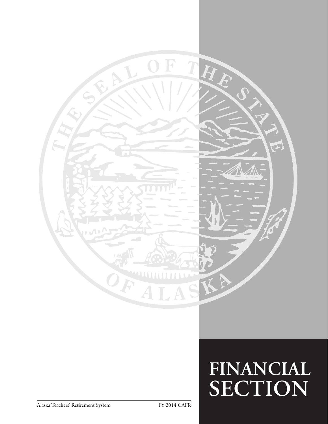

# **FINANCIAL SECTION**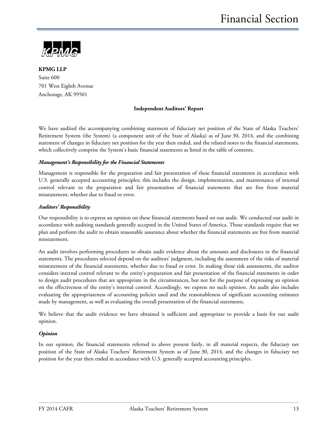

**KPMG LLP** Suite 600 701 West Eighth Avenue Anchorage, AK 99501

#### **Independent Auditors' Report**

We have audited the accompanying combining statement of fiduciary net position of the State of Alaska Teachers' Retirement System (the System) (a component unit of the State of Alaska) as of June 30, 2014, and the combining statement of changes in fiduciary net position for the year then ended, and the related notes to the financial statements, which collectively comprise the System's basic financial statements as listed in the table of contents.

#### *Management's Responsibility for the Financial Statements*

Management is responsible for the preparation and fair presentation of these financial statements in accordance with U.S. generally accepted accounting principles; this includes the design, implementation, and maintenance of internal control relevant to the preparation and fair presentation of financial statements that are free from material misstatement, whether due to fraud or error.

#### *Auditors' Responsibility*

Our responsibility is to express an opinion on these financial statements based on our audit. We conducted our audit in accordance with auditing standards generally accepted in the United States of America. Those standards require that we plan and perform the audit to obtain reasonable assurance about whether the financial statements are free from material misstatement.

An audit involves performing procedures to obtain audit evidence about the amounts and disclosures in the financial statements. The procedures selected depend on the auditors' judgment, including the assessment of the risks of material misstatement of the financial statements, whether due to fraud or error. In making those risk assessments, the auditor considers internal control relevant to the entity's preparation and fair presentation of the financial statements in order to design audit procedures that are appropriate in the circumstances, but not for the purpose of expressing an opinion on the effectiveness of the entity's internal control. Accordingly, we express no such opinion. An audit also includes evaluating the appropriateness of accounting policies used and the reasonableness of significant accounting estimates made by management, as well as evaluating the overall presentation of the financial statements.

We believe that the audit evidence we have obtained is sufficient and appropriate to provide a basis for our audit opinion.

#### *Opinion*

In our opinion, the financial statements referred to above present fairly, in all material respects, the fiduciary net position of the State of Alaska Teachers' Retirement System as of June 30, 2014, and the changes in fiduciary net position for the year then ended in accordance with U.S. generally accepted accounting principles.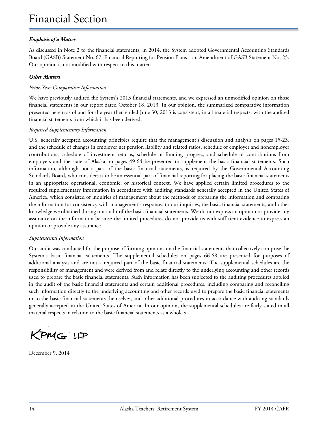#### *Emphasis of a Matter*

As discussed in Note 2 to the financial statements, in 2014, the System adopted Governmental Accounting Standards Board (GASB) Statement No. 67, Financial Reporting for Pension Plans – an Amendment of GASB Statement No. 25. Our opinion is not modified with respect to this matter.

#### *Other Matters*

#### *Prior-Year Comparative Information*

We have previously audited the System's 2013 financial statements, and we expressed an unmodified opinion on those financial statements in our report dated October 18, 2013. In our opinion, the summarized comparative information presented herein as of and for the year then ended June 30, 2013 is consistent, in all material respects, with the audited financial statements from which it has been derived.

#### *Required Supplementary Information*

U.S. generally accepted accounting principles require that the management's discussion and analysis on pages 15-23, and the schedule of changes in employer net pension liability and related ratios, schedule of employer and nonemployer contributions, schedule of investment returns, schedule of funding progress, and schedule of contributions from employers and the state of Alaska on pages 49-64 be presented to supplement the basic financial statements. Such information, although not a part of the basic financial statements, is required by the Governmental Accounting Standards Board, who considers it to be an essential part of financial reporting for placing the basic financial statements in an appropriate operational, economic, or historical context. We have applied certain limited procedures to the required supplementary information in accordance with auditing standards generally accepted in the United States of America, which consisted of inquiries of management about the methods of preparing the information and comparing the information for consistency with management's responses to our inquiries, the basic financial statements, and other knowledge we obtained during our audit of the basic financial statements. We do not express an opinion or provide any assurance on the information because the limited procedures do not provide us with sufficient evidence to express an opinion or provide any assurance.

#### *Supplemental Information*

Our audit was conducted for the purpose of forming opinions on the financial statements that collectively comprise the System's basic financial statements. The supplemental schedules on pages 66-68 are presented for purposes of additional analysis and are not a required part of the basic financial statements. The supplemental schedules are the responsibility of management and were derived from and relate directly to the underlying accounting and other records used to prepare the basic financial statements. Such information has been subjected to the auditing procedures applied in the audit of the basic financial statements and certain additional procedures, including comparing and reconciling such information directly to the underlying accounting and other records used to prepare the basic financial statements or to the basic financial statements themselves, and other additional procedures in accordance with auditing standards generally accepted in the United States of America. In our opinion, the supplemental schedules are fairly stated in all material respects in relation to the basic financial statements as a whole.s

KPMG LLP

December 9, 2014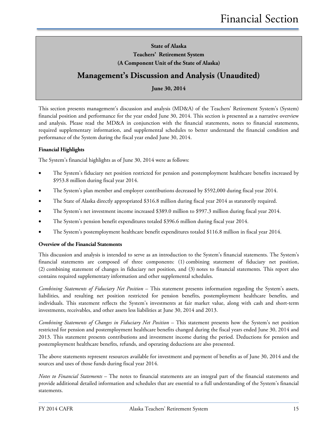# **Management's Discussion and Analysis (Unaudited)**

**June 30, 2014**

This section presents management's discussion and analysis (MD&A) of the Teachers' Retirement System's (System) financial position and performance for the year ended June 30, 2014. This section is presented as a narrative overview and analysis. Please read the MD&A in conjunction with the financial statements, notes to financial statements, required supplementary information, and supplemental schedules to better understand the financial condition and performance of the System during the fiscal year ended June 30, 2014.

#### **Financial Highlights**

The System's financial highlights as of June 30, 2014 were as follows:

- The System's fiduciary net position restricted for pension and postemployment healthcare benefits increased by \$953.8 million during fiscal year 2014.
- The System's plan member and employer contributions decreased by \$592,000 during fiscal year 2014.
- The State of Alaska directly appropriated \$316.8 million during fiscal year 2014 as statutorily required.
- The System's net investment income increased \$389.0 million to \$997.3 million during fiscal year 2014.
- The System's pension benefit expenditures totaled \$396.6 million during fiscal year 2014.
- The System's postemployment healthcare benefit expenditures totaled \$116.8 million in fiscal year 2014.

#### **Overview of the Financial Statements**

This discussion and analysis is intended to serve as an introduction to the System's financial statements. The System's financial statements are composed of three components: (1) combining statement of fiduciary net position, (2) combining statement of changes in fiduciary net position, and (3) notes to financial statements. This report also contains required supplementary information and other supplemental schedules.

*Combining Statements of Fiduciary Net Position* – This statement presents information regarding the System's assets, liabilities, and resulting net position restricted for pension benefits, postemployment healthcare benefits, and individuals. This statement reflects the System's investments at fair market value, along with cash and short-term investments, receivables, and other assets less liabilities at June 30, 2014 and 2013.

*Combining Statements of Changes in Fiduciary Net Position* – This statement presents how the System's net position restricted for pension and postemployment healthcare benefits changed during the fiscal years ended June 30, 2014 and 2013. This statement presents contributions and investment income during the period. Deductions for pension and postemployment healthcare benefits, refunds, and operating deductions are also presented.

The above statements represent resources available for investment and payment of benefits as of June 30, 2014 and the sources and uses of those funds during fiscal year 2014.

*Notes to Financial Statements* – The notes to financial statements are an integral part of the financial statements and provide additional detailed information and schedules that are essential to a full understanding of the System's financial statements.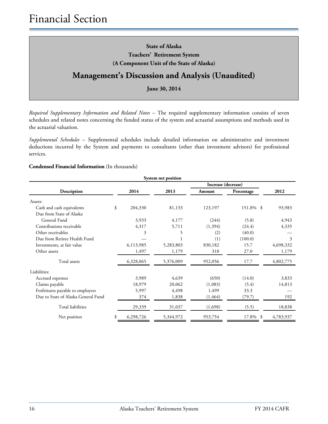# **Management's Discussion and Analysis (Unaudited)**

**June 30, 2014**

*Required Supplementary Information and Related Notes* – The required supplementary information consists of seven schedules and related notes concerning the funded status of the system and actuarial assumptions and methods used in the actuarial valuation.

*Supplemental Schedules* – Supplemental schedules include detailed information on administrative and investment deductions incurred by the System and payments to consultants (other than investment advisors) for professional services.

**Condensed Financial Information** (In thousands)

| System net position                 |    |           |           |                     |            |           |  |  |
|-------------------------------------|----|-----------|-----------|---------------------|------------|-----------|--|--|
|                                     |    |           |           | Increase (decrease) |            |           |  |  |
| Description                         |    | 2014      | 2013      | Amount              | Percentage | 2012      |  |  |
| Assets:                             |    |           |           |                     |            |           |  |  |
| Cash and cash equivalents           | \$ | 204,330   | 81,133    | 123,197             | 151.8% \$  | 93,983    |  |  |
| Due from State of Alaska            |    |           |           |                     |            |           |  |  |
| General Fund                        |    | 3,933     | 4,177     | (244)               | (5.8)      | 4,943     |  |  |
| Contributions receivable            |    | 4,317     | 5,711     | (1,394)             | (24.4)     | 4,335     |  |  |
| Other receivables                   |    | 3         | 5         | (2)                 | (40.0)     |           |  |  |
| Due from Retiree Health Fund        |    |           |           | (1)                 | (100.0)    | 3         |  |  |
| Investments, at fair value          |    | 6,113,985 | 5,283,803 | 830,182             | 15.7       | 4,698,332 |  |  |
| Other assets                        |    | 1,497     | 1,179     | 318                 | 27.0       | 1,179     |  |  |
| Total assets                        |    | 6,328,065 | 5,376,009 | 952,056             | 17.7       | 4,802,775 |  |  |
| Liabilities:                        |    |           |           |                     |            |           |  |  |
| Accrued expenses                    |    | 3,989     | 4,639     | (650)               | (14.0)     | 3,833     |  |  |
| Claims payable                      |    | 18,979    | 20,062    | (1,083)             | (5.4)      | 14,813    |  |  |
| Forfeitures payable to employers    |    | 5,997     | 4,498     | 1,499               | 33.3       |           |  |  |
| Due to State of Alaska General Fund |    | 374       | 1,838     | (1, 464)            | (79.7)     | 192       |  |  |
| <b>Total liabilities</b>            |    | 29,339    | 31,037    | (1,698)             | (5.5)      | 18,838    |  |  |
| Net position                        | \$ | 6,298,726 | 5,344,972 | 953,754             | 17.8% \$   | 4,783,937 |  |  |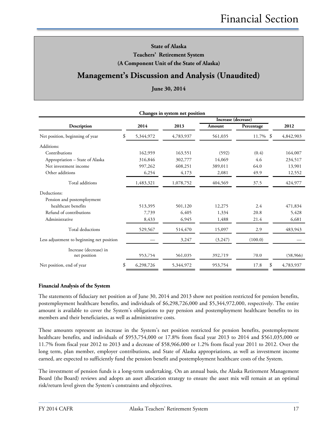# **Management's Discussion and Analysis (Unaudited)**

**June 30, 2014**

| Changes in system net position            |    |           |           |                     |             |  |           |
|-------------------------------------------|----|-----------|-----------|---------------------|-------------|--|-----------|
|                                           |    |           |           | Increase (decrease) |             |  |           |
| Description                               |    | 2014      | 2013      | Amount              | Percentage  |  | 2012      |
| Net position, beginning of year           | \$ | 5,344,972 | 4,783,937 | 561,035             | 11.7%<br>S. |  | 4,842,903 |
| Additions:                                |    |           |           |                     |             |  |           |
| Contributions                             |    | 162,959   | 163,551   | (592)               | (0.4)       |  | 164,007   |
| Appropriation – State of Alaska           |    | 316,846   | 302,777   | 14,069              | 4.6         |  | 234,517   |
| Net investment income                     |    | 997,262   | 608,251   | 389,011             | 64.0        |  | 13,901    |
| Other additions                           |    | 6,254     | 4,173     | 2,081               | 49.9        |  | 12,552    |
| Total additions                           |    | 1,483,321 | 1,078,752 | 404,569             | 37.5        |  | 424,977   |
| Deductions:                               |    |           |           |                     |             |  |           |
| Pension and postemployment                |    |           |           |                     |             |  |           |
| healthcare benefits                       |    | 513,395   | 501,120   | 12,275              | 2.4         |  | 471,834   |
| Refund of contributions                   |    | 7,739     | 6.405     | 1,334               | 20.8        |  | 5,428     |
| Administrative                            |    | 8,433     | 6,945     | 1,488               | 21.4        |  | 6,681     |
| Total deductions                          |    | 529,567   | 514,470   | 15,097              | 2.9         |  | 483,943   |
| Less adjustment to beginning net position |    |           | 3,247     | (3,247)             | (100.0)     |  |           |
| Increase (decrease) in                    |    |           |           |                     |             |  |           |
| net position                              |    | 953,754   | 561,035   | 392,719             | 70.0        |  | (58, 966) |
| Net position, end of year                 | \$ | 6,298,726 | 5,344,972 | 953,754             | 17.8<br>\$  |  | 4,783,937 |

#### **Financial Analysis of the System**

The statements of fiduciary net position as of June 30, 2014 and 2013 show net position restricted for pension benefits, postemployment healthcare benefits, and individuals of \$6,298,726,000 and \$5,344,972,000, respectively. The entire amount is available to cover the System's obligations to pay pension and postemployment healthcare benefits to its members and their beneficiaries, as well as administrative costs.

These amounts represent an increase in the System's net position restricted for pension benefits, postemployment healthcare benefits, and individuals of \$953,754,000 or 17.8% from fiscal year 2013 to 2014 and \$561,035,000 or 11.7% from fiscal year 2012 to 2013 and a decrease of \$58,966,000 or 1.2% from fiscal year 2011 to 2012. Over the long term, plan member, employer contributions, and State of Alaska appropriations, as well as investment income earned, are expected to sufficiently fund the pension benefit and postemployment healthcare costs of the System.

The investment of pension funds is a long-term undertaking. On an annual basis, the Alaska Retirement Management Board (the Board) reviews and adopts an asset allocation strategy to ensure the asset mix will remain at an optimal risk/return level given the System's constraints and objectives.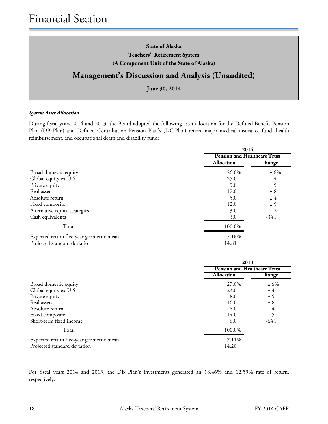# **Management's Discussion and Analysis (Unaudited)**

**June 30, 2014**

#### *System Asset Allocation*

During fiscal years 2014 and 2013, the Board adopted the following asset allocation for the Defined Benefit Pension Plan (DB Plan) and Defined Contribution Pension Plan's (DC Plan) retiree major medical insurance fund, health reimbursement, and occupational death and disability fund:

|                                          | 2014                                |        |  |
|------------------------------------------|-------------------------------------|--------|--|
|                                          | <b>Pension and Healthcare Trust</b> |        |  |
|                                          | <b>Allocation</b>                   | Range  |  |
| Broad domestic equity                    | 26.0%                               | ± 6%   |  |
| Global equity ex-U.S.                    | 25.0                                | ± 4    |  |
| Private equity                           | 9.0                                 | ± 5    |  |
| Real assets                              | 17.0                                | ± 8    |  |
| Absolute return                          | 5.0                                 | ± 4    |  |
| Fixed composite                          | 12.0                                | ± 5    |  |
| Alternative equity strategies            | 3.0                                 | ± 2    |  |
| Cash equivalents                         | 3.0                                 | $-3/1$ |  |
| Total                                    | 100.0%                              |        |  |
| Expected return five-year geometric mean | 7.16%                               |        |  |
| Projected standard deviation             | 14.81                               |        |  |

|                                          | 2013                                |         |  |  |
|------------------------------------------|-------------------------------------|---------|--|--|
|                                          | <b>Pension and Healthcare Trust</b> |         |  |  |
|                                          | <b>Allocation</b>                   | Range   |  |  |
| Broad domestic equity                    | 27.0%                               | $± 6\%$ |  |  |
| Global equity ex-U.S.                    | 23.0                                | ± 4     |  |  |
| Private equity                           | 8.0                                 | ± 5     |  |  |
| Real assets                              | 16.0                                | ± 8     |  |  |
| Absolute return                          | 6.0                                 | ± 4     |  |  |
| Fixed composite                          | 14.0                                | ± 5     |  |  |
| Short-term fixed income                  | 6.0                                 | $-6/1$  |  |  |
| Total                                    | 100.0%                              |         |  |  |
| Expected return five-year geometric mean | 7.11%                               |         |  |  |
| Projected standard deviation             | 14.20                               |         |  |  |

For fiscal years 2014 and 2013, the DB Plan's investments generated an 18.46% and 12.59% rate of return, respectively.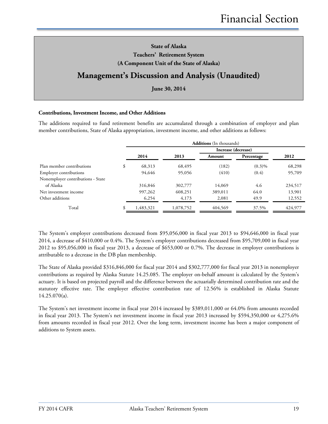# **Management's Discussion and Analysis (Unaudited)**

**June 30, 2014**

#### **Contributions, Investment Income, and Other Additions**

The additions required to fund retirement benefits are accumulated through a combination of employer and plan member contributions, State of Alaska appropriation, investment income, and other additions as follows:

|                                   | <b>Additions</b> (In thousands) |           |                     |            |         |  |  |
|-----------------------------------|---------------------------------|-----------|---------------------|------------|---------|--|--|
|                                   |                                 |           | Increase (decrease) |            |         |  |  |
|                                   | 2014                            | 2013      | Amount              | Percentage | 2012    |  |  |
| Plan member contributions         | \$<br>68,313                    | 68,495    | (182)               | (0.3)%     | 68,298  |  |  |
| <b>Employer contributions</b>     | 94,646                          | 95,056    | (410)               | (0.4)      | 95,709  |  |  |
| Nonemployer contributions - State |                                 |           |                     |            |         |  |  |
| of Alaska                         | 316,846                         | 302,777   | 14,069              | 4.6        | 234,517 |  |  |
| Net investment income             | 997,262                         | 608,251   | 389,011             | 64.0       | 13,901  |  |  |
| Other additions                   | 6,254                           | 4,173     | 2,081               | 49.9       | 12,552  |  |  |
| Total                             | 1,483,321                       | 1,078,752 | 404,569             | 37.5%      | 424,977 |  |  |

The System's employer contributions decreased from \$95,056,000 in fiscal year 2013 to \$94,646,000 in fiscal year 2014, a decrease of \$410,000 or 0.4%. The System's employer contributions decreased from \$95,709,000 in fiscal year 2012 to \$95,056,000 in fiscal year 2013, a decrease of \$653,000 or 0.7%. The decrease in employer contributions is attributable to a decrease in the DB plan membership.

The State of Alaska provided \$316,846,000 for fiscal year 2014 and \$302,777,000 for fiscal year 2013 in nonemployer contributions as required by Alaska Statute 14.25.085. The employer on-behalf amount is calculated by the System's actuary. It is based on projected payroll and the difference between the actuarially determined contribution rate and the statutory effective rate. The employer effective contribution rate of 12.56% is established in Alaska Statute 14.25.070(a).

The System's net investment income in fiscal year 2014 increased by \$389,011,000 or 64.0% from amounts recorded in fiscal year 2013. The System's net investment income in fiscal year 2013 increased by \$594,350,000 or 4,275.6% from amounts recorded in fiscal year 2012. Over the long term, investment income has been a major component of additions to System assets.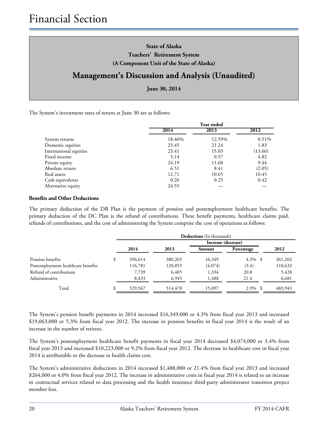# **Management's Discussion and Analysis (Unaudited)**

**June 30, 2014**

The System's investment rates of return at June 30 are as follows:

|                        | Year ended |        |         |  |  |
|------------------------|------------|--------|---------|--|--|
|                        | 2014       | 2013   | 2012    |  |  |
| System returns         | 18.46%     | 12.59% | 0.51%   |  |  |
| Domestic equities      | 25.45      | 21.24  | 1.83    |  |  |
| International equities | 23.41      | 15.03  | (13.66) |  |  |
| Fixed income           | 5.14       | 0.57   | 4.82    |  |  |
| Private equity         | 24.19      | 11.68  | 9.44    |  |  |
| Absolute return        | 6.51       | 8.41   | (2.05)  |  |  |
| Real assets            | 12.71      | 10.65  | 10.45   |  |  |
| Cash equivalents       | 0.26       | 0.25   | 0.42    |  |  |
| Alternative equity     | 24.55      |        |         |  |  |

#### **Benefits and Other Deductions**

The primary deduction of the DB Plan is the payment of pension and postemployment healthcare benefits. The primary deduction of the DC Plan is the refund of contributions. These benefit payments, healthcare claims paid, refunds of contributions, and the cost of administering the System comprise the cost of operations as follows:

|                                    |    | <b>Deductions</b> (In thousands) |         |                     |            |         |  |  |
|------------------------------------|----|----------------------------------|---------|---------------------|------------|---------|--|--|
|                                    |    |                                  |         | Increase (decrease) |            |         |  |  |
|                                    |    | 2014                             | 2013    | Amount              | Percentage | 2012    |  |  |
| Pension benefits                   | \$ | 396,614                          | 380,265 | 16,349              | $4.3\%$ \$ | 361,202 |  |  |
| Postemployment healthcare benefits |    | 116,781                          | 120,855 | (4,074)             | (3.4)      | 110,632 |  |  |
| Refund of contributions            |    | 7,739                            | 6,405   | 1,334               | 20.8       | 5,428   |  |  |
| Administrative                     |    | 8,433                            | 6,945   | 1,488               | 21.4       | 6,681   |  |  |
| Total                              | S  | 529,567                          | 514,470 | 15,097              | $2.9\%$ \$ | 483,943 |  |  |

The System's pension benefit payments in 2014 increased \$16,349,000 or 4.3% from fiscal year 2013 and increased \$19,063,000 or 5.3% from fiscal year 2012. The increase in pension benefits in fiscal year 2014 is the result of an increase in the number of retirees.

The System's postemployment healthcare benefit payments in fiscal year 2014 decreased \$4,074,000 or 3.4% from fiscal year 2013 and increased \$10,223,000 or 9.2% from fiscal year 2012. The decrease in healthcare cost in fiscal year 2014 is attributable to the decrease in health claims cost.

The System's administrative deductions in 2014 increased \$1,488,000 or 21.4% from fiscal year 2013 and increased \$264,000 or 4.0% from fiscal year 2012. The increase in administrative costs in fiscal year 2014 is related to an increase in contractual services related to data processing and the health insurance third-party administrator transition project member fees.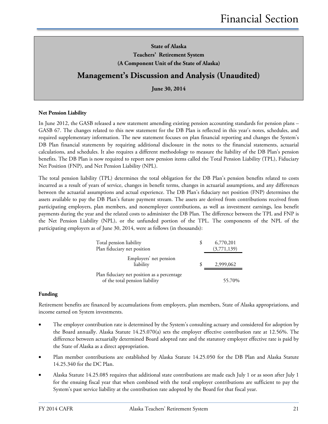# **Management's Discussion and Analysis (Unaudited)**

**June 30, 2014**

#### **Net Pension Liability**

In June 2012, the GASB released a new statement amending existing pension accounting standards for pension plans – GASB 67. The changes related to this new statement for the DB Plan is reflected in this year's notes, schedules, and required supplementary information. The new statement focuses on plan financial reporting and changes the System's DB Plan financial statements by requiring additional disclosure in the notes to the financial statements, actuarial calculations, and schedules. It also requires a different methodology to measure the liability of the DB Plan's pension benefits. The DB Plan is now required to report new pension items called the Total Pension Liability (TPL), Fiduciary Net Position (FNP), and Net Pension Liability (NPL).

The total pension liability (TPL) determines the total obligation for the DB Plan's pension benefits related to costs incurred as a result of years of service, changes in benefit terms, changes in actuarial assumptions, and any differences between the actuarial assumptions and actual experience. The DB Plan's fiduciary net position (FNP) determines the assets available to pay the DB Plan's future payment stream. The assets are derived from contributions received from participating employers, plan members, and nonemployer contributions, as well as investment earnings, less benefit payments during the year and the related costs to administer the DB Plan. The difference between the TPL and FNP is the Net Pension Liability (NPL), or the unfunded portion of the TPL. The components of the NPL of the participating employers as of June 30, 2014, were as follows (in thousands):

| Total pension liability                                                       | 6,770,201   |
|-------------------------------------------------------------------------------|-------------|
| Plan fiduciary net position                                                   | (3,771,139) |
| Employers' net pension<br>liability                                           | 2,999,062   |
| Plan fiduciary net position as a percentage<br>of the total pension liability | 55.70%      |

#### **Funding**

Retirement benefits are financed by accumulations from employers, plan members, State of Alaska appropriations, and income earned on System investments.

- The employer contribution rate is determined by the System's consulting actuary and considered for adoption by the Board annually. Alaska Statute 14.25.070(a) sets the employer effective contribution rate at 12.56%. The difference between actuarially determined Board adopted rate and the statutory employer effective rate is paid by the State of Alaska as a direct appropriation.
- Plan member contributions are established by Alaska Statute 14.25.050 for the DB Plan and Alaska Statute 14.25.340 for the DC Plan.
- Alaska Statute 14.25.085 requires that additional state contributions are made each July 1 or as soon after July 1 for the ensuing fiscal year that when combined with the total employer contributions are sufficient to pay the System's past service liability at the contribution rate adopted by the Board for that fiscal year.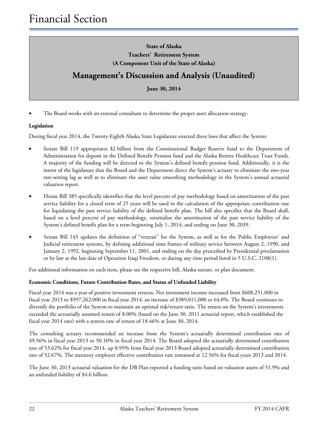# **Management's Discussion and Analysis (Unaudited)**

**June 30, 2014**

• The Board works with an external consultant to determine the proper asset allocation strategy.

#### **Legislation**

During fiscal year 2014, the Twenty-Eighth Alaska State Legislature enacted three laws that affect the System:

- Senate Bill 119 appropriates \$2 billion from the Constitutional Budget Reserve fund to the Department of Administration for deposit in the Defined Benefit Pension fund and the Alaska Retiree Healthcare Trust Funds. A majority of the funding will be directed to the System's defined benefit pension fund. Additionally, it is the intent of the legislature that the Board and the Department direct the System's actuary to eliminate the two-year rate-setting lag as well as to eliminate the asset value smoothing methodology in the System's annual actuarial valuation report.
- House Bill 385 specifically identifies that the level percent of pay methodology based on amortization of the past service liability for a closed term of 25 years will be used in the calculation of the appropriate contribution rate for liquidating the past service liability of the defined benefit plan. The bill also specifies that the Board shall, based on a level percent of pay methodology, reinitialize the amortization of the past service liability of the System's defined benefit plan for a term beginning July 1, 2014, and ending on June 30, 2039.
- Senate Bill 145 updates the definition of "veteran" for the System, as well as for the Public Employees' and Judicial retirement systems, by defining additional time frames of military service between August 2, 1990, and January 2, 1992, beginning September 11, 2001, and ending on the day prescribed by Presidential proclamation or by law as the last date of Operation Iraqi Freedom, or during any time period listed in 5 U.S.C. 2108(1).

For additional information on each item, please see the respective bill, Alaska statute, or plan document.

#### **Economic Conditions, Future Contribution Rates, and Status of Unfunded Liability**

Fiscal year 2014 was a year of positive investment returns. Net investment income increased from \$608,251,000 in fiscal year 2013 to \$997,262,000 in fiscal year 2014, an increase of \$389,011,000 or 64.0%. The Board continues to diversify the portfolio of the System to maintain an optimal risk/return ratio. The return on the System's investments exceeded the actuarially assumed return of 8.00% (based on the June 30, 2011 actuarial report, which established the fiscal year 2014 rate) with a system rate of return of 18.46% at June 30, 2014.

The consulting actuary recommended an increase from the System's actuarially determined contribution rate of 49.56% in fiscal year 2013 to 50.10% in fiscal year 2014. The Board adopted the actuarially determined contribution rate of 53.62% for fiscal year 2014, up 0.95% from fiscal year 2013 Board adopted actuarially determined contribution rate of 52.67%. The statutory employer effective contribution rate remained at 12.56% for fiscal years 2013 and 2014.

The June 30, 2013 actuarial valuation for the DB Plan reported a funding ratio based on valuation assets of 51.9% and an unfunded liability of \$4.6 billion.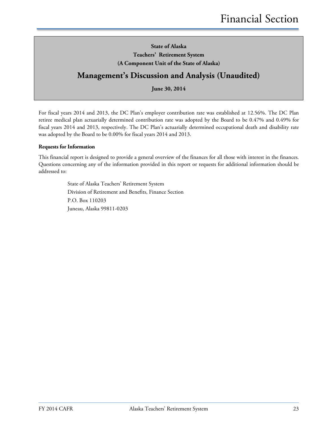# **Management's Discussion and Analysis (Unaudited)**

**June 30, 2014**

For fiscal years 2014 and 2013, the DC Plan's employer contribution rate was established at 12.56%. The DC Plan retiree medical plan actuarially determined contribution rate was adopted by the Board to be 0.47% and 0.49% for fiscal years 2014 and 2013, respectively. The DC Plan's actuarially determined occupational death and disability rate was adopted by the Board to be 0.00% for fiscal years 2014 and 2013.

#### **Requests for Information**

This financial report is designed to provide a general overview of the finances for all those with interest in the finances. Questions concerning any of the information provided in this report or requests for additional information should be addressed to:

> State of Alaska Teachers' Retirement System Division of Retirement and Benefits, Finance Section P.O. Box 110203 Juneau, Alaska 99811-0203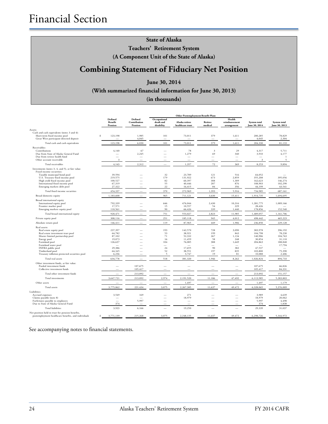# **Combining Statement of Fiduciary Net Position**

**June 30, 2014**

**(With summarized financial information for June 30, 2013)** 

**(in thousands)**

|                                                                                                                            |                                     |                                    | Other Postemployment Benefit Plans      |                                    |                          |                                        |                               |                               |
|----------------------------------------------------------------------------------------------------------------------------|-------------------------------------|------------------------------------|-----------------------------------------|------------------------------------|--------------------------|----------------------------------------|-------------------------------|-------------------------------|
|                                                                                                                            | Defined<br>Benefit<br>Pension       | Defined<br>Contribution<br>Pension | Occupational<br>death and<br>disability | Alaska retiree<br>healthcare trust | Retiree<br>medical       | Health<br>reimbursement<br>arrangement | System total<br>June 30, 2014 | System total<br>June 30, 2013 |
| Assets:                                                                                                                    |                                     |                                    |                                         |                                    |                          |                                        |                               |                               |
| Cash and cash equivalents (notes 3 and 4):<br>Short-term fixed income pool<br>s<br>Great West participant directed deposit | 123,198<br>$\overline{\phantom{a}}$ | 1,985<br>4,045                     | 101<br>$\overline{\phantom{a}}$         | 73,011<br>$\overline{\phantom{a}}$ | 379<br>$\sim$            | 1,611<br>$\overline{\phantom{a}}$      | 200,285<br>4,045              | 78,829<br>2,304               |
| Total cash and cash equivalents                                                                                            | 123,198                             | 6,030                              | 101                                     | 73,011                             | 379                      | 1,611                                  | 204,330                       | 81,133                        |
| Receivables:                                                                                                               |                                     |                                    |                                         |                                    |                          |                                        |                               |                               |
| Contributions<br>Due from State of Alaska General Fund                                                                     | 4.140                               | 67<br>2,245                        |                                         | 78<br>1,279                        | 3<br>69                  | 29<br>340                              | 4,317<br>3,933                | 5,711<br>4,177                |
| Due from retiree health fund<br>Other account receivable                                                                   | $\overline{\mathbf{3}}$             | $\overline{\phantom{0}}$           |                                         | $\overline{\phantom{0}}$           |                          | $\overline{\phantom{a}}$               | $\mathfrak{Z}$                | 1<br>5                        |
| Total receivables                                                                                                          | 4,143                               | 2,312                              |                                         | 1,357                              | 72                       | 369                                    | 8,253                         | 9,894                         |
| Investments (notes 3, 4, and 5), at fair value:                                                                            |                                     |                                    |                                         |                                    |                          |                                        |                               |                               |
| Fixed income securities:<br>Taxable municipal bond pool                                                                    | 39,594                              |                                    | 32                                      | 23,789                             | 121                      | 516                                    | 64,052                        |                               |
| U.S. Treasury fixed income pool                                                                                            | 219,575                             |                                    | 179                                     | 131,922                            | 673                      | 2,859                                  | 355,208                       | 395,056                       |
| High yield fixed income pool                                                                                               | 100,527                             |                                    | 82                                      | 60,397                             | 308                      | 1,309                                  | 162,623                       | 146,274                       |
| International fixed income pool                                                                                            | 67,319                              |                                    | 55                                      | 40,446                             | 207                      | 876                                    | 108,903                       | 102,290                       |
| Emerging markets debt pool                                                                                                 | 27,322                              |                                    | $2\sqrt{2}$                             | 16,415                             | 84                       | 356                                    | 44,199                        | 43,541                        |
| Total fixed income securities                                                                                              | 454,337                             |                                    | 370                                     | 272,969                            | 1,393                    | 5,916                                  | 734,985                       | 687,161                       |
| Broad domestic equity                                                                                                      | 1,183,608                           | $\overline{\phantom{0}}$           | 965                                     | 711,121                            | 3,630                    | 15,411                                 | 1,914,735                     | 1,694,695                     |
| Broad international equity                                                                                                 |                                     |                                    |                                         |                                    |                          |                                        |                               |                               |
| International equity pool                                                                                                  | 792,339                             |                                    | 646                                     | 476,044                            | 2,430                    | 10,316                                 | 1,281,775                     | 1,009,166                     |
| Frontier market pool                                                                                                       | 17,571                              |                                    | 15                                      | 10,557                             | 54                       | 229                                    | 28,426                        |                               |
| Emerging markets equity pool                                                                                               | 110,561                             |                                    | 90                                      | 66,426                             | 339                      | 1,440                                  | 178,856                       | 152,540                       |
| Total broad international equity                                                                                           | 920.471                             |                                    | 751                                     | 553,027                            | 2,823                    | 11,985                                 | 1,489,057                     | 1,161,706                     |
| Private equity pool                                                                                                        | 308,116                             | $\overline{\phantom{0}}$           | 251                                     | 185,118                            | 945                      | 4,012                                  | 498,442                       | 465,223                       |
| Absolute return pool                                                                                                       | 146,411                             | -                                  | 119                                     | 87,965                             | 449                      | 1,906                                  | 236,850                       | 229,128                       |
| Real assets:                                                                                                               |                                     |                                    |                                         |                                    |                          |                                        |                               |                               |
| Real estate equity pool                                                                                                    | 237,397                             |                                    | 193                                     | 142,570                            | 728                      | 3,090                                  | 383,978                       | 396,192                       |
| Real estate investment trust pool                                                                                          | 64,782                              |                                    | 53                                      | 38,921                             | 199                      | 843                                    | 104,798                       | 78,230                        |
| Master limited partnership pool                                                                                            | 87,102                              |                                    | 71                                      | 52,332                             | 267                      | 1,134                                  | 140,906                       | 104,763                       |
| Energy pool                                                                                                                | 19,073                              |                                    | 16<br>104                               | 11,459                             | 58<br>388                | 248                                    | 30,854                        | 31,110                        |
| Farmland pool<br>Farmland water pool                                                                                       | 126,637<br>$\overline{\phantom{a}}$ |                                    | $\overline{\phantom{a}}$                | 76,085                             | $\overline{\phantom{a}}$ | 1,649<br>$\overline{\phantom{a}}$      | 204,863                       | 188,848<br>17,794             |
| INFRA public pool                                                                                                          | 29,386                              |                                    | 24                                      | 17,655                             | 90                       | 382                                    | 47,537                        |                               |
| Timberland pool                                                                                                            | 64,165                              |                                    | 52                                      | 38,551                             | 197                      | 835                                    | 103,800                       | 75,390                        |
| Treasury inflation protected securities pool                                                                               | 6,236                               | $\equiv$                           | 5                                       | 3,747                              | 19                       | 81                                     | 10,088                        | 2,406                         |
| Total real assets                                                                                                          | 634,778                             |                                    | 518                                     | 381,320                            | 1,946                    | 8,262                                  | 1,026,824                     | 894,733                       |
| Other investment funds, at fair value:                                                                                     |                                     |                                    |                                         |                                    |                          |                                        |                               |                               |
| Pooled investment funds                                                                                                    |                                     | 107,675                            |                                         |                                    |                          |                                        | 107,675                       | 66,826                        |
| Collective investment funds                                                                                                | $\overline{\phantom{0}}$            | 105,417                            |                                         |                                    |                          |                                        | 105,417                       | 84,331                        |
| Total other investment funds                                                                                               | $\overline{\phantom{0}}$            | 213,092                            |                                         |                                    |                          | $\overline{\phantom{0}}$               | 213,092                       | 151,157                       |
| Total investments                                                                                                          | 3,647,721                           | 213,092                            | 2,974                                   | 2,191,520                          | 11,186                   | 47,492                                 | 6,113,985                     | 5,283,803                     |
| Other assets                                                                                                               |                                     | $\overline{\phantom{0}}$           |                                         | 1,497                              | $\overline{\phantom{0}}$ | $\overline{\phantom{0}}$               | 1,497                         | 1,179                         |
| Total assets                                                                                                               | 3,775,062                           | 221,434                            | 3,075                                   | 2,267,385                          | 11,637                   | 49,472                                 | 6,328,065                     | 5,376,009                     |
| Liabilities:                                                                                                               |                                     |                                    |                                         |                                    |                          |                                        |                               |                               |
| Accrued expenses                                                                                                           | 3,549                               | 169                                |                                         | 271                                |                          |                                        | 3,989                         | 4,639                         |
| Claims payable (note 8)                                                                                                    |                                     |                                    |                                         | 18,979                             |                          |                                        | 18,979                        | 20,062                        |
| Forfeitures payable to employers<br>Due to State of Alaska General Fund                                                    |                                     | 5,997                              | -                                       |                                    |                          |                                        | 5,997                         | 4,498                         |
|                                                                                                                            | 374                                 |                                    |                                         | -                                  |                          |                                        | 374                           | 1,838                         |
| Total liabilities                                                                                                          | 3,923                               | 6,166                              |                                         | 19,250                             |                          |                                        | 29,339                        | 31,037                        |
| Net position held in trust for pension benefits,<br>postemployment healthcare benefits, and individuals<br>s               | 3,771,139                           | 215,268                            | 3.075                                   | 2,248,135                          | 11.637                   | 49.472                                 | 6,298,726                     | 5.344.972                     |

See accompanying notes to financial statements.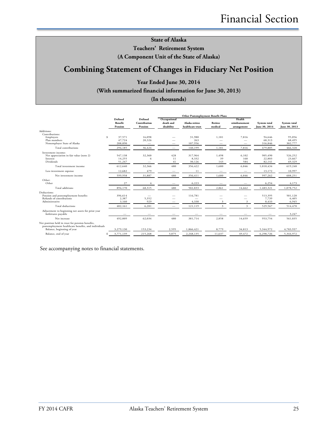**State of Alaska**

**Teachers' Retirement System**

**(A Component Unit of the State of Alaska)**

# **Combining Statement of Changes in Fiduciary Net Position**

**Year Ended June 30, 2014**

**(With summarized financial information for June 30, 2013)** 

**(In thousands)**

|                                                                                                                                       | Other Postemployment Benefit Plans   |                                    |                                         |                                    |                    |                                        |                               |                               |
|---------------------------------------------------------------------------------------------------------------------------------------|--------------------------------------|------------------------------------|-----------------------------------------|------------------------------------|--------------------|----------------------------------------|-------------------------------|-------------------------------|
|                                                                                                                                       | Defined<br><b>Benefit</b><br>Pension | Defined<br>Contribution<br>Pension | Occupational<br>death and<br>disability | Alaska retiree<br>healthcare trust | Retiree<br>medical | Health<br>reimbursement<br>arrangement | System total<br>June 30, 2014 | System total<br>June 30, 2013 |
| Additions:<br>Contributions:<br>Employers                                                                                             | \$<br>37,571                         | 16,098                             |                                         | 31,980                             | 1,181              | 7.816                                  | 94,646                        | 95,056                        |
| Plan members<br>Nonemployer State of Alaska                                                                                           | 47,724<br>208,890                    | 20,326                             |                                         | 263<br>107,956                     | -                  | -<br>$\overline{\phantom{0}}$          | 68,313<br>316,846             | 68,495<br>302,777             |
| Total contributions                                                                                                                   | 294,185                              | 36,424                             |                                         | 140,199                            | 1.181              | 7,816                                  | 479,805                       | 466,328                       |
| Investment income:<br>Net appreciation in fair value (note 2)<br>Interest<br>Dividends                                                | 547,138<br>14,255<br>51,247          | 32,360<br>6                        | 428<br>11<br>41                         | 317,964<br>8,332<br>30,126         | 1.498<br>39<br>143 | 6,102<br>160<br>584                    | 905,490<br>22,803<br>82,141   | 526,252<br>23,667<br>69,329   |
| Total investment income                                                                                                               | 612,640                              | 32,366                             | 480                                     | 356,422                            | 1.680              | 6.846                                  | 1,010,434                     | 619,248                       |
| Less investment expense                                                                                                               | 12,682                               | 479                                |                                         | 11                                 |                    |                                        | 13,172                        | 10,997                        |
| Net investment income                                                                                                                 | 599,958                              | 31,887                             | 480                                     | 356,411                            | 1.680              | 6,846                                  | 997,262                       | 608,251                       |
| Other:<br>Other                                                                                                                       | 27                                   | 4                                  |                                         | 6,223                              |                    |                                        | 6,254                         | 4,173                         |
| Total additions                                                                                                                       | 894,170                              | 68,315                             | 480                                     | 502,833                            | 2,861              | 14,662                                 | 1,483,321                     | 1,078,752                     |
| Deductions:<br>Pension and postemployment benefits<br>Refunds of contributions<br>Administrative                                      | 396,614<br>2,387<br>3,160            | 5,352<br>929                       |                                         | 116,781<br>4,338                   | 3                  | 3                                      | 513,395<br>7,739<br>8,433     | 501,120<br>6,405<br>6,945     |
| Total deductions                                                                                                                      | 402.161                              | 6.281                              |                                         | 121,119                            | $\overline{3}$     | 3                                      | 529,567                       | 514,470                       |
| Adjustment to beginning net assets for prior year<br>forfeitures payable                                                              |                                      |                                    |                                         |                                    |                    |                                        |                               | 3,247                         |
| Net increase                                                                                                                          | 492,009                              | 62,034                             | 480                                     | 381,714                            | 2,858              | 14,659                                 | 953,754                       | 561,035                       |
| Net position held in trust for pension benefits,<br>postemployment healthcare benefits, and individuals<br>Balance, beginning of year | 3,279,130                            | 153,234                            | 2,595                                   | 1,866,421                          | 8,779              | 34,813                                 | 5,344,972                     | 4,783,937                     |
| Balance, end of year                                                                                                                  | 3,771,139                            | 215,268                            | 3,075                                   | 2,248,135                          | 11,637             | 49,472                                 | 6,298,726                     | 5,344,972                     |

See accompanying notes to financial statements.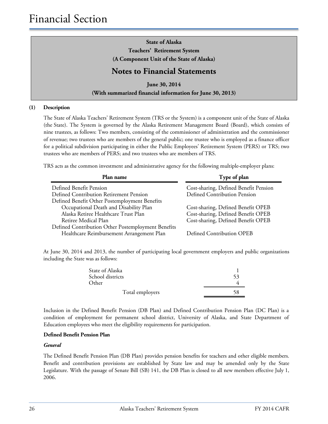# **Notes to Financial Statements**

**June 30, 2014 (With summarized financial information for June 30, 2013)**

#### **(1) Description**

The State of Alaska Teachers' Retirement System (TRS or the System) is a component unit of the State of Alaska (the State). The System is governed by the Alaska Retirement Management Board (Board), which consists of nine trustees, as follows: Two members, consisting of the commissioner of administration and the commissioner of revenue; two trustees who are members of the general public; one trustee who is employed as a finance officer for a political subdivision participating in either the Public Employees' Retirement System (PERS) or TRS; two trustees who are members of PERS; and two trustees who are members of TRS.

TRS acts as the common investment and administrative agency for the following multiple-employer plans:

| Plan name                                          | Type of plan                          |
|----------------------------------------------------|---------------------------------------|
| Defined Benefit Pension                            | Cost-sharing, Defined Benefit Pension |
| Defined Contribution Retirement Pension            | Defined Contribution Pension          |
| Defined Benefit Other Postemployment Benefits      |                                       |
| Occupational Death and Disability Plan             | Cost-sharing, Defined Benefit OPEB    |
| Alaska Retiree Healthcare Trust Plan               | Cost-sharing, Defined Benefit OPEB    |
| Retiree Medical Plan                               | Cost-sharing, Defined Benefit OPEB    |
| Defined Contribution Other Postemployment Benefits |                                       |
| Healthcare Reimbursement Arrangement Plan          | Defined Contribution OPEB             |
|                                                    |                                       |

At June 30, 2014 and 2013, the number of participating local government employers and public organizations including the State was as follows:

| State of Alaska  |  |
|------------------|--|
| School districts |  |
| Other            |  |
| Total employers  |  |

Inclusion in the Defined Benefit Pension (DB Plan) and Defined Contribution Pension Plan (DC Plan) is a condition of employment for permanent school district, University of Alaska, and State Department of Education employees who meet the eligibility requirements for participation.

#### **Defined Benefit Pension Plan**

#### *General*

The Defined Benefit Pension Plan (DB Plan) provides pension benefits for teachers and other eligible members. Benefit and contribution provisions are established by State law and may be amended only by the State Legislature. With the passage of Senate Bill (SB) 141, the DB Plan is closed to all new members effective July 1, 2006.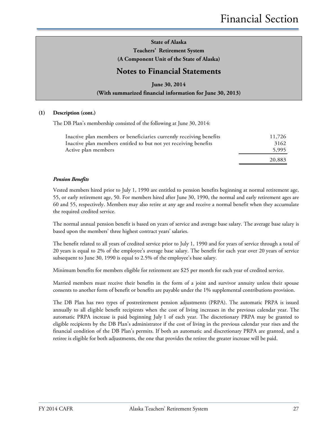**State of Alaska**

**Teachers' Retirement System**

**(A Component Unit of the State of Alaska)**

### **Notes to Financial Statements**

**June 30, 2014**

**(With summarized financial information for June 30, 2013)**

#### **(1) Description (cont.)**

The DB Plan's membership consisted of the following at June 30, 2014:

| Inactive plan members or beneficiaries currently receiving benefits | 11,726 |
|---------------------------------------------------------------------|--------|
| Inactive plan members entitled to but not yet receiving benefits    | 3162   |
| Active plan members                                                 | 5,995  |
|                                                                     | 20,883 |

#### *Pension Benefits*

Vested members hired prior to July 1, 1990 are entitled to pension benefits beginning at normal retirement age, 55, or early retirement age, 50. For members hired after June 30, 1990, the normal and early retirement ages are 60 and 55, respectively. Members may also retire at any age and receive a normal benefit when they accumulate the required credited service.

The normal annual pension benefit is based on years of service and average base salary. The average base salary is based upon the members' three highest contract years' salaries.

The benefit related to all years of credited service prior to July 1, 1990 and for years of service through a total of 20 years is equal to 2% of the employee's average base salary. The benefit for each year over 20 years of service subsequent to June 30, 1990 is equal to 2.5% of the employee's base salary.

Minimum benefits for members eligible for retirement are \$25 per month for each year of credited service.

Married members must receive their benefits in the form of a joint and survivor annuity unless their spouse consents to another form of benefit or benefits are payable under the 1% supplemental contributions provision.

The DB Plan has two types of postretirement pension adjustments (PRPA). The automatic PRPA is issued annually to all eligible benefit recipients when the cost of living increases in the previous calendar year. The automatic PRPA increase is paid beginning July 1 of each year. The discretionary PRPA may be granted to eligible recipients by the DB Plan's administrator if the cost of living in the previous calendar year rises and the financial condition of the DB Plan's permits. If both an automatic and discretionary PRPA are granted, and a retiree is eligible for both adjustments, the one that provides the retiree the greater increase will be paid.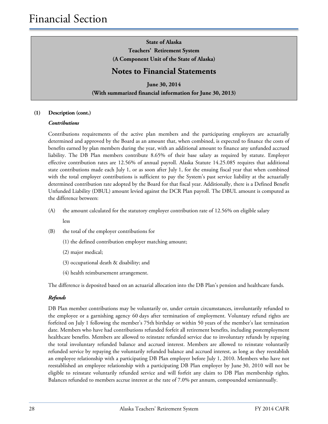# **Notes to Financial Statements**

**June 30, 2014 (With summarized financial information for June 30, 2013)**

#### **(1) Description (cont.)**

#### *Contributions*

Contributions requirements of the active plan members and the participating employers are actuarially determined and approved by the Board as an amount that, when combined, is expected to finance the costs of benefits earned by plan members during the year, with an additional amount to finance any unfunded accrued liability. The DB Plan members contribute 8.65% of their base salary as required by statute. Employer effective contribution rates are 12.56% of annual payroll. Alaska Statute 14.25.085 requires that additional state contributions made each July 1, or as soon after July 1, for the ensuing fiscal year that when combined with the total employer contributions is sufficient to pay the System's past service liability at the actuarially determined contribution rate adopted by the Board for that fiscal year. Additionally, there is a Defined Benefit Unfunded Liability (DBUL) amount levied against the DCR Plan payroll. The DBUL amount is computed as the difference between:

(A) the amount calculated for the statutory employer contribution rate of 12.56% on eligible salary

less

- (B) the total of the employer contributions for
	- (1) the defined contribution employer matching amount;
	- (2) major medical;
	- (3) occupational death & disability; and
	- (4) health reimbursement arrangement.

The difference is deposited based on an actuarial allocation into the DB Plan's pension and healthcare funds.

#### *Refunds*

DB Plan member contributions may be voluntarily or, under certain circumstances, involuntarily refunded to the employee or a garnishing agency 60 days after termination of employment. Voluntary refund rights are forfeited on July 1 following the member's 75th birthday or within 50 years of the member's last termination date. Members who have had contributions refunded forfeit all retirement benefits, including postemployment healthcare benefits. Members are allowed to reinstate refunded service due to involuntary refunds by repaying the total involuntary refunded balance and accrued interest. Members are allowed to reinstate voluntarily refunded service by repaying the voluntarily refunded balance and accrued interest, as long as they reestablish an employee relationship with a participating DB Plan employer before July 1, 2010. Members who have not reestablished an employee relationship with a participating DB Plan employer by June 30, 2010 will not be eligible to reinstate voluntarily refunded service and will forfeit any claim to DB Plan membership rights. Balances refunded to members accrue interest at the rate of 7.0% per annum, compounded semiannually.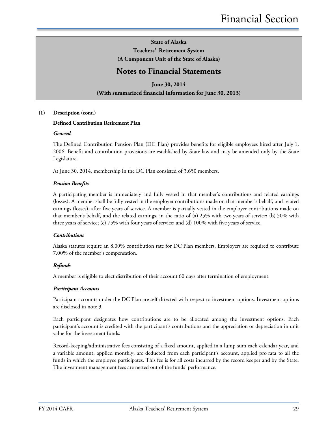**State of Alaska**

**Teachers' Retirement System**

### **(A Component Unit of the State of Alaska)**

### **Notes to Financial Statements**

**June 30, 2014 (With summarized financial information for June 30, 2013)**

#### **(1) Description (cont.)**

#### **Defined Contribution Retirement Plan**

#### *General*

The Defined Contribution Pension Plan (DC Plan) provides benefits for eligible employees hired after July 1, 2006. Benefit and contribution provisions are established by State law and may be amended only by the State Legislature.

At June 30, 2014, membership in the DC Plan consisted of 3,650 members.

#### *Pension Benefits*

A participating member is immediately and fully vested in that member's contributions and related earnings (losses). A member shall be fully vested in the employer contributions made on that member's behalf, and related earnings (losses), after five years of service. A member is partially vested in the employer contributions made on that member's behalf, and the related earnings, in the ratio of (a) 25% with two years of service; (b) 50% with three years of service; (c) 75% with four years of service; and (d) 100% with five years of service.

#### *Contributions*

Alaska statutes require an 8.00% contribution rate for DC Plan members. Employers are required to contribute 7.00% of the member's compensation.

#### *Refunds*

A member is eligible to elect distribution of their account 60 days after termination of employment.

#### *Participant Accounts*

Participant accounts under the DC Plan are self-directed with respect to investment options. Investment options are disclosed in note 3.

Each participant designates how contributions are to be allocated among the investment options. Each participant's account is credited with the participant's contributions and the appreciation or depreciation in unit value for the investment funds.

Record-keeping/administrative fees consisting of a fixed amount, applied in a lump sum each calendar year, and a variable amount, applied monthly, are deducted from each participant's account, applied pro rata to all the funds in which the employee participates. This fee is for all costs incurred by the record keeper and by the State. The investment management fees are netted out of the funds' performance.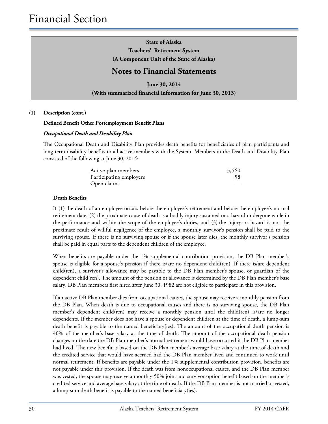# **Notes to Financial Statements**

**June 30, 2014**

#### **(With summarized financial information for June 30, 2013)**

#### **(1) Description (cont.)**

#### **Defined Benefit Other Postemployment Benefit Plans**

#### *Occupational Death and Disability Plan*

The Occupational Death and Disability Plan provides death benefits for beneficiaries of plan participants and long-term disability benefits to all active members with the System. Members in the Death and Disability Plan consisted of the following at June 30, 2014:

| Active plan members     | 3,560 |
|-------------------------|-------|
| Participating employers | 58    |
| Open claims             |       |

#### **Death Benefits**

If (1) the death of an employee occurs before the employee's retirement and before the employee's normal retirement date, (2) the proximate cause of death is a bodily injury sustained or a hazard undergone while in the performance and within the scope of the employee's duties, and (3) the injury or hazard is not the proximate result of willful negligence of the employee, a monthly survivor's pension shall be paid to the surviving spouse. If there is no surviving spouse or if the spouse later dies, the monthly survivor's pension shall be paid in equal parts to the dependent children of the employee.

When benefits are payable under the 1% supplemental contribution provision, the DB Plan member's spouse is eligible for a spouse's pension if there is/are no dependent child(ren). If there is/are dependent child(ren), a survivor's allowance may be payable to the DB Plan member's spouse, or guardian of the dependent child(ren). The amount of the pension or allowance is determined by the DB Plan member's base salary. DB Plan members first hired after June 30, 1982 are not eligible to participate in this provision.

If an active DB Plan member dies from occupational causes, the spouse may receive a monthly pension from the DB Plan. When death is due to occupational causes and there is no surviving spouse, the DB Plan member's dependent child(ren) may receive a monthly pension until the child(ren) is/are no longer dependents. If the member does not have a spouse or dependent children at the time of death, a lump-sum death benefit is payable to the named beneficiary(ies). The amount of the occupational death pension is 40% of the member's base salary at the time of death. The amount of the occupational death pension changes on the date the DB Plan member's normal retirement would have occurred if the DB Plan member had lived. The new benefit is based on the DB Plan member's average base salary at the time of death and the credited service that would have accrued had the DB Plan member lived and continued to work until normal retirement. If benefits are payable under the 1% supplemental contribution provision, benefits are not payable under this provision. If the death was from nonoccupational causes, and the DB Plan member was vested, the spouse may receive a monthly 50% joint and survivor option benefit based on the member's credited service and average base salary at the time of death. If the DB Plan member is not married or vested, a lump-sum death benefit is payable to the named beneficiary(ies).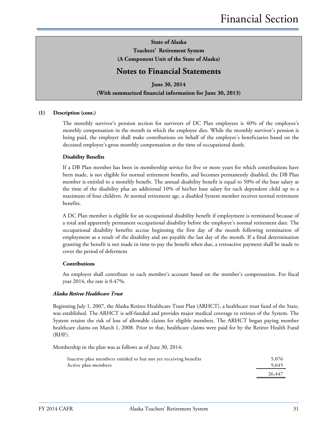## **Notes to Financial Statements**

**June 30, 2014 (With summarized financial information for June 30, 2013)**

#### **(1) Description (cont.)**

The monthly survivor's pension section for survivors of DC Plan employees is 40% of the employee's monthly compensation in the month in which the employee dies. While the monthly survivor's pension is being paid, the employer shall make contributions on behalf of the employee's beneficiaries based on the deceased employee's gross monthly compensation at the time of occupational death.

#### **Disability Benefits**

If a DB Plan member has been in membership service for five or more years for which contributions have been made, is not eligible for normal retirement benefits, and becomes permanently disabled, the DB Plan member is entitled to a monthly benefit. The annual disability benefit is equal to 50% of the base salary at the time of the disability plus an additional 10% of his/her base salary for each dependent child up to a maximum of four children. At normal retirement age, a disabled System member receives normal retirement benefits.

A DC Plan member is eligible for an occupational disability benefit if employment is terminated because of a total and apparently permanent occupational disability before the employee's normal retirement date. The occupational disability benefits accrue beginning the first day of the month following termination of employment as a result of the disability and are payable the last day of the month. If a final determination granting the benefit is not made in time to pay the benefit when due, a retroactive payment shall be made to cover the period of deferment.

#### **Contributions**

An employer shall contribute to each member's account based on the member's compensation. For fiscal year 2014, the rate is 0.47%.

#### *Alaska Retiree Healthcare Trust*

Beginning July 1, 2007, the Alaska Retiree Healthcare Trust Plan (ARHCT), a healthcare trust fund of the State, was established. The ARHCT is self-funded and provides major medical coverage to retirees of the System. The System retains the risk of loss of allowable claims for eligible members. The ARHCT began paying member healthcare claims on March 1, 2008. Prior to that, healthcare claims were paid for by the Retiree Health Fund (RHF).

Membership in the plan was as follows as of June 30, 2014:

| Inactive plan members entitled to but not vet receiving benefits | 5.076  |
|------------------------------------------------------------------|--------|
| Active plan members                                              | 9.645  |
|                                                                  | 26.447 |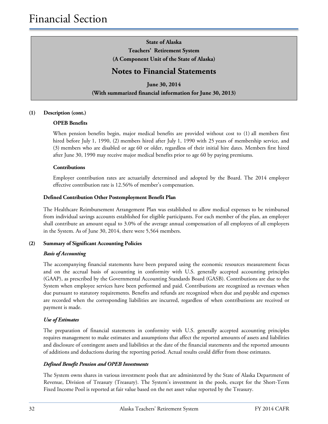# **Notes to Financial Statements**

**June 30, 2014 (With summarized financial information for June 30, 2013)**

#### **(1) Description (cont.)**

#### **OPEB Benefits**

When pension benefits begin, major medical benefits are provided without cost to (1) all members first hired before July 1, 1990, (2) members hired after July 1, 1990 with 25 years of membership service, and (3) members who are disabled or age 60 or older, regardless of their initial hire dates. Members first hired after June 30, 1990 may receive major medical benefits prior to age 60 by paying premiums.

#### **Contributions**

Employer contribution rates are actuarially determined and adopted by the Board. The 2014 employer effective contribution rate is 12.56% of member's compensation.

#### **Defined Contribution Other Postemployment Benefit Plan**

The Healthcare Reimbursement Arrangement Plan was established to allow medical expenses to be reimbursed from individual savings accounts established for eligible participants. For each member of the plan, an employer shall contribute an amount equal to 3.0% of the average annual compensation of all employees of all employers in the System. As of June 30, 2014, there were 5,564 members.

#### **(2) Summary of Significant Accounting Policies**

#### *Basis of Accounting*

The accompanying financial statements have been prepared using the economic resources measurement focus and on the accrual basis of accounting in conformity with U.S. generally accepted accounting principles (GAAP), as prescribed by the Governmental Accounting Standards Board (GASB). Contributions are due to the System when employee services have been performed and paid. Contributions are recognized as revenues when due pursuant to statutory requirements. Benefits and refunds are recognized when due and payable and expenses are recorded when the corresponding liabilities are incurred, regardless of when contributions are received or payment is made.

#### *Use of Estimates*

The preparation of financial statements in conformity with U.S. generally accepted accounting principles requires management to make estimates and assumptions that affect the reported amounts of assets and liabilities and disclosure of contingent assets and liabilities at the date of the financial statements and the reported amounts of additions and deductions during the reporting period. Actual results could differ from those estimates.

#### *Defined Benefit Pension and OPEB Investments*

The System owns shares in various investment pools that are administered by the State of Alaska Department of Revenue, Division of Treasury (Treasury). The System's investment in the pools, except for the Short-Term Fixed Income Pool is reported at fair value based on the net asset value reported by the Treasury.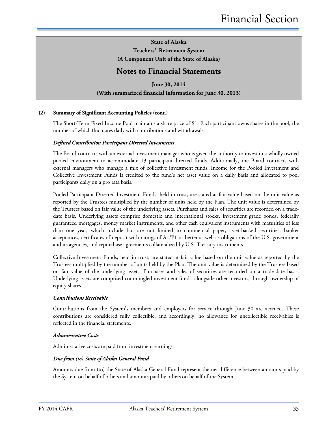# **Notes to Financial Statements**

**June 30, 2014 (With summarized financial information for June 30, 2013)**

#### **(2) Summary of Significant Accounting Policies (cont.)**

The Short-Term Fixed Income Pool maintains a share price of \$1. Each participant owns shares in the pool, the number of which fluctuates daily with contributions and withdrawals.

#### *Defined Contribution Participant Directed Investments*

The Board contracts with an external investment manager who is given the authority to invest in a wholly owned pooled environment to accommodate 13 participant-directed funds. Additionally, the Board contracts with external managers who manage a mix of collective investment funds. Income for the Pooled Investment and Collective Investment Funds is credited to the fund's net asset value on a daily basis and allocated to pool participants daily on a pro rata basis.

Pooled Participant Directed Investment Funds, held in trust, are stated at fair value based on the unit value as reported by the Trustees multiplied by the number of units held by the Plan. The unit value is determined by the Trustees based on fair value of the underlying assets. Purchases and sales of securities are recorded on a tradedate basis. Underlying assets comprise domestic and international stocks, investment grade bonds, federally guaranteed mortgages, money market instruments, and other cash equivalent instruments with maturities of less than one year, which include but are not limited to commercial paper, asset-backed securities, banker acceptances, certificates of deposit with ratings of A1/P1 or better as well as obligations of the U.S. government and its agencies, and repurchase agreements collateralized by U.S. Treasury instruments.

Collective Investment Funds, held in trust, are stated at fair value based on the unit value as reported by the Trustees multiplied by the number of units held by the Plan. The unit value is determined by the Trustees based on fair value of the underlying assets. Purchases and sales of securities are recorded on a trade-date basis. Underlying assets are comprised commingled investment funds, alongside other investors, through ownership of equity shares.

#### *Contributions Receivable*

Contributions from the System's members and employers for service through June 30 are accrued. These contributions are considered fully collectible, and accordingly, no allowance for uncollectible receivables is reflected in the financial statements.

#### *Administrative Costs*

Administrative costs are paid from investment earnings.

#### *Due from (to) State of Alaska General Fund*

Amounts due from (to) the State of Alaska General Fund represent the net difference between amounts paid by the System on behalf of others and amounts paid by others on behalf of the System.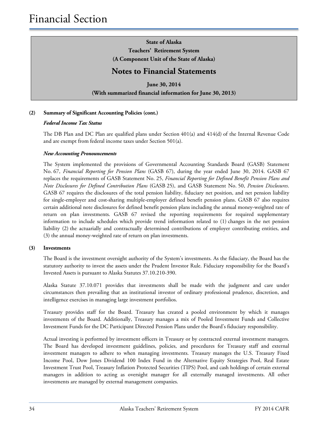# **Notes to Financial Statements**

**June 30, 2014 (With summarized financial information for June 30, 2013)**

#### **(2) Summary of Significant Accounting Policies (cont.)**

#### *Federal Income Tax Status*

The DB Plan and DC Plan are qualified plans under Section  $401(a)$  and  $414(d)$  of the Internal Revenue Code and are exempt from federal income taxes under Section 501(a).

#### *New Accounting Pronouncements*

The System implemented the provisions of Governmental Accounting Standards Board (GASB) Statement No. 67, *Financial Reporting for Pension Plans* (GASB 67), during the year ended June 30, 2014. GASB 67 replaces the requirements of GASB Statement No. 25, *Financial Reporting for Defined Benefit Pension Plans and Note Disclosures for Defined Contribution Plans* (GASB 25), and GASB Statement No. 50, *Pension Disclosures*. GASB 67 requires the disclosures of the total pension liability, fiduciary net position, and net pension liability for single-employer and cost-sharing multiple-employer defined benefit pension plans. GASB 67 also requires certain additional note disclosures for defined benefit pension plans including the annual money-weighted rate of return on plan investments. GASB 67 revised the reporting requirements for required supplementary information to include schedules which provide trend information related to (1) changes in the net pension liability (2) the actuarially and contractually determined contributions of employer contributing entities, and (3) the annual money-weighted rate of return on plan investments.

#### **(3) Investments**

The Board is the investment oversight authority of the System's investments. As the fiduciary, the Board has the statutory authority to invest the assets under the Prudent Investor Rule. Fiduciary responsibility for the Board's Invested Assets is pursuant to Alaska Statutes 37.10.210-390.

Alaska Statute 37.10.071 provides that investments shall be made with the judgment and care under circumstances then prevailing that an institutional investor of ordinary professional prudence, discretion, and intelligence exercises in managing large investment portfolios.

Treasury provides staff for the Board. Treasury has created a pooled environment by which it manages investments of the Board. Additionally, Treasury manages a mix of Pooled Investment Funds and Collective Investment Funds for the DC Participant Directed Pension Plans under the Board's fiduciary responsibility.

Actual investing is performed by investment officers in Treasury or by contracted external investment managers. The Board has developed investment guidelines, policies, and procedures for Treasury staff and external investment managers to adhere to when managing investments. Treasury manages the U.S. Treasury Fixed Income Pool, Dow Jones Dividend 100 Index Fund in the Alternative Equity Strategies Pool, Real Estate Investment Trust Pool, Treasury Inflation Protected Securities (TIPS) Pool, and cash holdings of certain external managers in addition to acting as oversight manager for all externally managed investments. All other investments are managed by external management companies.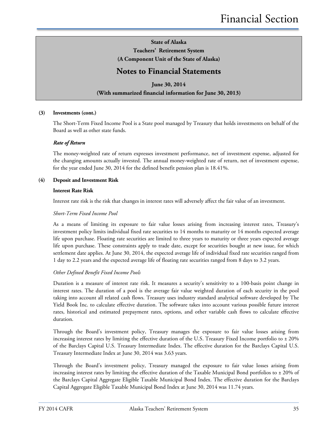**State of Alaska**

**Teachers' Retirement System**

**(A Component Unit of the State of Alaska)**

## **Notes to Financial Statements**

**June 30, 2014 (With summarized financial information for June 30, 2013)**

#### **(3) Investments (cont.)**

The Short-Term Fixed Income Pool is a State pool managed by Treasury that holds investments on behalf of the Board as well as other state funds.

#### *Rate of Return*

The money-weighted rate of return expresses investment performance, net of investment expense, adjusted for the changing amounts actually invested. The annual money-weighted rate of return, net of investment expense, for the year ended June 30, 2014 for the defined benefit pension plan is 18.41%.

#### **(4) Deposit and Investment Risk**

#### **Interest Rate Risk**

Interest rate risk is the risk that changes in interest rates will adversely affect the fair value of an investment.

#### *Short-Term Fixed Income Pool*

As a means of limiting its exposure to fair value losses arising from increasing interest rates, Treasury's investment policy limits individual fixed rate securities to 14 months to maturity or 14 months expected average life upon purchase. Floating rate securities are limited to three years to maturity or three years expected average life upon purchase. These constraints apply to trade date, except for securities bought at new issue, for which settlement date applies. At June 30, 2014, the expected average life of individual fixed rate securities ranged from 1 day to 2.2 years and the expected average life of floating rate securities ranged from 8 days to 3.2 years.

#### *Other Defined Benefit Fixed Income Pools*

Duration is a measure of interest rate risk. It measures a security's sensitivity to a 100-basis point change in interest rates. The duration of a pool is the average fair value weighted duration of each security in the pool taking into account all related cash flows. Treasury uses industry standard analytical software developed by The Yield Book Inc. to calculate effective duration. The software takes into account various possible future interest rates, historical and estimated prepayment rates, options, and other variable cash flows to calculate effective duration.

Through the Board's investment policy, Treasury manages the exposure to fair value losses arising from increasing interest rates by limiting the effective duration of the U.S. Treasury Fixed Income portfolio to ± 20% of the Barclays Capital U.S. Treasury Intermediate Index. The effective duration for the Barclays Capital U.S. Treasury Intermediate Index at June 30, 2014 was 3.63 years.

Through the Board's investment policy, Treasury managed the exposure to fair value losses arising from increasing interest rates by limiting the effective duration of the Taxable Municipal Bond portfolios to  $\pm 20\%$  of the Barclays Capital Aggregate Eligible Taxable Municipal Bond Index. The effective duration for the Barclays Capital Aggregate Eligible Taxable Municipal Bond Index at June 30, 2014 was 11.74 years.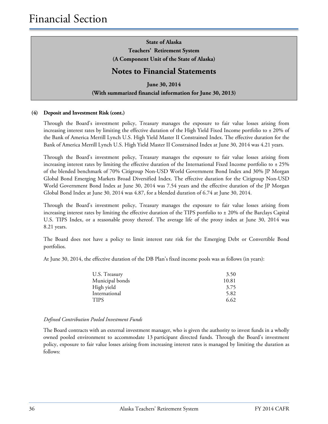# **Notes to Financial Statements**

**June 30, 2014 (With summarized financial information for June 30, 2013)**

#### **(4) Deposit and Investment Risk (cont.)**

Through the Board's investment policy, Treasury manages the exposure to fair value losses arising from increasing interest rates by limiting the effective duration of the High Yield Fixed Income portfolio to ± 20% of the Bank of America Merrill Lynch U.S. High Yield Master II Constrained Index. The effective duration for the Bank of America Merrill Lynch U.S. High Yield Master II Constrained Index at June 30, 2014 was 4.21 years.

Through the Board's investment policy, Treasury manages the exposure to fair value losses arising from increasing interest rates by limiting the effective duration of the International Fixed Income portfolio to ± 25% of the blended benchmark of 70% Citigroup Non-USD World Government Bond Index and 30% JP Morgan Global Bond Emerging Markets Broad Diversified Index. The effective duration for the Citigroup Non-USD World Government Bond Index at June 30, 2014 was 7.54 years and the effective duration of the JP Morgan Global Bond Index at June 30, 2014 was 4.87, for a blended duration of 6.74 at June 30, 2014.

Through the Board's investment policy, Treasury manages the exposure to fair value losses arising from increasing interest rates by limiting the effective duration of the TIPS portfolio to ± 20% of the Barclays Capital U.S. TIPS Index, or a reasonable proxy thereof. The average life of the proxy index at June 30, 2014 was 8.21 years.

The Board does not have a policy to limit interest rate risk for the Emerging Debt or Convertible Bond portfolios.

At June 30, 2014, the effective duration of the DB Plan's fixed income pools was as follows (in years):

| U.S. Treasury   | 3.50  |
|-----------------|-------|
| Municipal bonds | 10.81 |
| High yield      | 3.75  |
| International   | 5.82  |
| <b>TIPS</b>     | 6.62  |

#### *Defined Contribution Pooled Investment Funds*

The Board contracts with an external investment manager, who is given the authority to invest funds in a wholly owned pooled environment to accommodate 13 participant directed funds. Through the Board's investment policy, exposure to fair value losses arising from increasing interest rates is managed by limiting the duration as follows: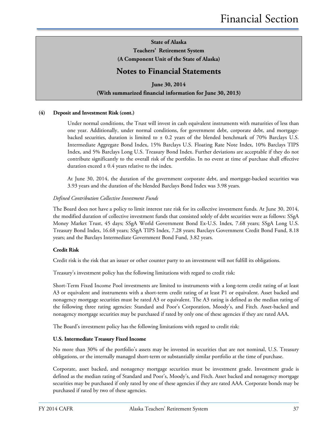# **Notes to Financial Statements**

**June 30, 2014 (With summarized financial information for June 30, 2013)**

#### **(4) Deposit and Investment Risk (cont.)**

Under normal conditions, the Trust will invest in cash equivalent instruments with maturities of less than one year. Additionally, under normal conditions, for government debt, corporate debt, and mortgagebacked securities, duration is limited to ± 0.2 years of the blended benchmark of 70% Barclays U.S. Intermediate Aggregate Bond Index, 15% Barclays U.S. Floating Rate Note Index, 10% Barclays TIPS Index, and 5% Barclays Long U.S. Treasury Bond Index. Further deviations are acceptable if they do not contribute significantly to the overall risk of the portfolio. In no event at time of purchase shall effective duration exceed  $\pm$  0.4 years relative to the index.

At June 30, 2014, the duration of the government corporate debt, and mortgage-backed securities was 3.93 years and the duration of the blended Barclays Bond Index was 3.98 years.

#### *Defined Contribution Collective Investment Funds*

The Board does not have a policy to limit interest rate risk for its collective investment funds. At June 30, 2014, the modified duration of collective investment funds that consisted solely of debt securities were as follows: SSgA Money Market Trust, 45 days; SSgA World Government Bond Ex-U.S. Index, 7.68 years; SSgA Long U.S. Treasury Bond Index, 16.68 years; SSgA TIPS Index, 7.28 years; Barclays Government Credit Bond Fund, 8.18 years; and the Barclays Intermediate Government Bond Fund, 3.82 years.

#### **Credit Risk**

Credit risk is the risk that an issuer or other counter party to an investment will not fulfill its obligations.

Treasury's investment policy has the following limitations with regard to credit risk:

Short-Term Fixed Income Pool investments are limited to instruments with a long-term credit rating of at least A3 or equivalent and instruments with a short-term credit rating of at least P1 or equivalent. Asset backed and nonagency mortgage securities must be rated A3 or equivalent. The A3 rating is defined as the median rating of the following three rating agencies: Standard and Poor's Corporation, Moody's, and Fitch. Asset-backed and nonagency mortgage securities may be purchased if rated by only one of these agencies if they are rated AAA.

The Board's investment policy has the following limitations with regard to credit risk:

#### **U.S. Intermediate Treasury Fixed Income**

No more than 30% of the portfolio's assets may be invested in securities that are not nominal, U.S. Treasury obligations, or the internally managed short-term or substantially similar portfolio at the time of purchase.

Corporate, asset backed, and nonagency mortgage securities must be investment grade. Investment grade is defined as the median rating of Standard and Poor's, Moody's, and Fitch. Asset backed and nonagency mortgage securities may be purchased if only rated by one of these agencies if they are rated AAA. Corporate bonds may be purchased if rated by two of these agencies.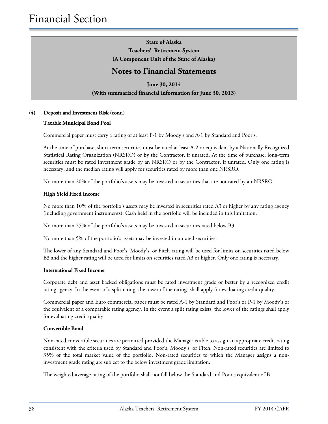# **Notes to Financial Statements**

**June 30, 2014 (With summarized financial information for June 30, 2013)**

#### **(4) Deposit and Investment Risk (cont.)**

#### **Taxable Municipal Bond Pool**

Commercial paper must carry a rating of at least P-1 by Moody's and A-1 by Standard and Poor's.

At the time of purchase, short-term securities must be rated at least A-2 or equivalent by a Nationally Recognized Statistical Rating Organization (NRSRO) or by the Contractor, if unrated. At the time of purchase, long-term securities must be rated investment grade by an NRSRO or by the Contractor, if unrated. Only one rating is necessary, and the median rating will apply for securities rated by more than one NRSRO.

No more than 20% of the portfolio's assets may be invested in securities that are not rated by an NRSRO.

#### **High Yield Fixed Income**

No more than 10% of the portfolio's assets may be invested in securities rated A3 or higher by any rating agency (including government instruments). Cash held in the portfolio will be included in this limitation.

No more than 25% of the portfolio's assets may be invested in securities rated below B3.

No more than 5% of the portfolio's assets may be invested in unrated securities.

The lower of any Standard and Poor's, Moody's, or Fitch rating will be used for limits on securities rated below B3 and the higher rating will be used for limits on securities rated A3 or higher. Only one rating is necessary.

#### **International Fixed Income**

Corporate debt and asset backed obligations must be rated investment grade or better by a recognized credit rating agency. In the event of a split rating, the lower of the ratings shall apply for evaluating credit quality.

Commercial paper and Euro commercial paper must be rated A-1 by Standard and Poor's or P-1 by Moody's or the equivalent of a comparable rating agency. In the event a split rating exists, the lower of the ratings shall apply for evaluating credit quality.

#### **Convertible Bond**

Non-rated convertible securities are permitted provided the Manager is able to assign an appropriate credit rating consistent with the criteria used by Standard and Poor's, Moody's, or Fitch. Non-rated securities are limited to 35% of the total market value of the portfolio. Non-rated securities to which the Manager assigns a noninvestment grade rating are subject to the below investment grade limitation.

The weighted-average rating of the portfolio shall not fall below the Standard and Poor's equivalent of B.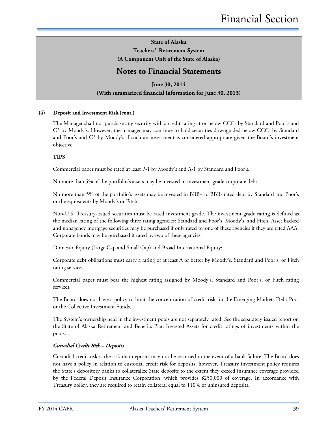# **Notes to Financial Statements**

**June 30, 2014 (With summarized financial information for June 30, 2013)**

#### **(4) Deposit and Investment Risk (cont.)**

The Manager shall not purchase any security with a credit rating at or below CCC- by Standard and Poor's and C3 by Moody's. However, the manager may continue to hold securities downgraded below CCC- by Standard and Poor's and C3 by Moody's if such an investment is considered appropriate given the Board's investment objective.

#### **TIPS**

Commercial paper must be rated at least P-1 by Moody's and A-1 by Standard and Poor's.

No more than 5% of the portfolio's assets may be invested in investment grade corporate debt.

No more than 5% of the portfolio's assets may be invested in BBB+ to BBB- rated debt by Standard and Poor's or the equivalents by Moody's or Fitch.

Non-U.S. Treasury-issued securities must be rated investment grade. The investment grade rating is defined as the median rating of the following three rating agencies: Standard and Poor's, Moody's, and Fitch. Asset backed and nonagency mortgage securities may be purchased if only rated by one of these agencies if they are rated AAA. Corporate bonds may be purchased if rated by two of these agencies.

Domestic Equity (Large Cap and Small Cap) and Broad International Equity:

Corporate debt obligations must carry a rating of at least A or better by Moody's, Standard and Poor's, or Fitch rating services.

Commercial paper must bear the highest rating assigned by Moody's, Standard and Poor's, or Fitch rating services.

The Board does not have a policy to limit the concentration of credit risk for the Emerging Markets Debt Pool or the Collective Investment Funds.

The System's ownership held in the investment pools are not separately rated. See the separately issued report on the State of Alaska Retirement and Benefits Plan Invested Assets for credit ratings of investments within the pools.

#### *Custodial Credit Risk – Deposits*

Custodial credit risk is the risk that deposits may not be returned in the event of a bank failure. The Board does not have a policy in relation to custodial credit risk for deposits; however, Treasury investment policy requires the State's depository banks to collateralize State deposits to the extent they exceed insurance coverage provided by the Federal Deposit Insurance Corporation, which provides \$250,000 of coverage. In accordance with Treasury policy, they are required to retain collateral equal to 110% of uninsured deposits.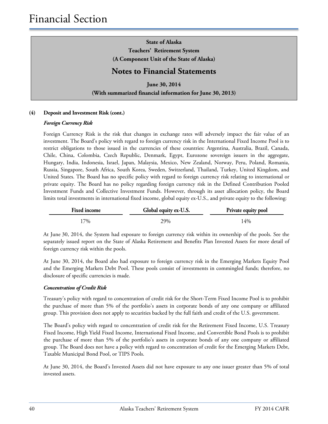# **Notes to Financial Statements**

**June 30, 2014 (With summarized financial information for June 30, 2013)**

#### **(4) Deposit and Investment Risk (cont.)**

#### *Foreign Currency Risk*

Foreign Currency Risk is the risk that changes in exchange rates will adversely impact the fair value of an investment. The Board's policy with regard to foreign currency risk in the International Fixed Income Pool is to restrict obligations to those issued in the currencies of these countries: Argentina, Australia, Brazil, Canada, Chile, China, Colombia, Czech Republic, Denmark, Egypt, Eurozone sovereign issuers in the aggregate, Hungary, India, Indonesia, Israel, Japan, Malaysia, Mexico, New Zealand, Norway, Peru, Poland, Romania, Russia, Singapore, South Africa, South Korea, Sweden, Switzerland, Thailand, Turkey, United Kingdom, and United States. The Board has no specific policy with regard to foreign currency risk relating to international or private equity. The Board has no policy regarding foreign currency risk in the Defined Contribution Pooled Investment Funds and Collective Investment Funds. However, through its asset allocation policy, the Board limits total investments in international fixed income, global equity ex-U.S., and private equity to the following:

| <b>Fixed income</b> | Global equity ex-U.S. | Private equity pool |
|---------------------|-----------------------|---------------------|
| 17%                 | 29%                   | 14%                 |

At June 30, 2014, the System had exposure to foreign currency risk within its ownership of the pools. See the separately issued report on the State of Alaska Retirement and Benefits Plan Invested Assets for more detail of foreign currency risk within the pools.

At June 30, 2014, the Board also had exposure to foreign currency risk in the Emerging Markets Equity Pool and the Emerging Markets Debt Pool. These pools consist of investments in commingled funds; therefore, no disclosure of specific currencies is made.

#### *Concentration of Credit Risk*

Treasury's policy with regard to concentration of credit risk for the Short-Term Fixed Income Pool is to prohibit the purchase of more than 5% of the portfolio's assets in corporate bonds of any one company or affiliated group. This provision does not apply to securities backed by the full faith and credit of the U.S. government.

The Board's policy with regard to concentration of credit risk for the Retirement Fixed Income, U.S. Treasury Fixed Income, High Yield Fixed Income, International Fixed Income, and Convertible Bond Pools is to prohibit the purchase of more than 5% of the portfolio's assets in corporate bonds of any one company or affiliated group. The Board does not have a policy with regard to concentration of credit for the Emerging Markets Debt, Taxable Municipal Bond Pool, or TIPS Pools.

At June 30, 2014, the Board's Invested Assets did not have exposure to any one issuer greater than 5% of total invested assets.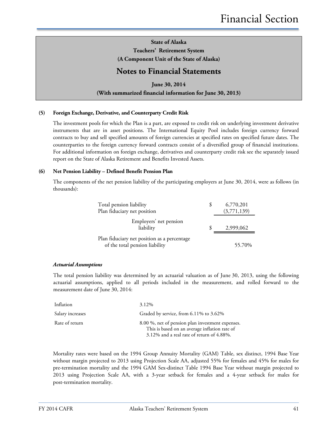### **Notes to Financial Statements**

**June 30, 2014 (With summarized financial information for June 30, 2013)**

#### **(5) Foreign Exchange, Derivative, and Counterparty Credit Risk**

The investment pools for which the Plan is a part, are exposed to credit risk on underlying investment derivative instruments that are in asset positions. The International Equity Pool includes foreign currency forward contracts to buy and sell specified amounts of foreign currencies at specified rates on specified future dates. The counterparties to the foreign currency forward contracts consist of a diversified group of financial institutions. For additional information on foreign exchange, derivatives and counterparty credit risk see the separately issued report on the State of Alaska Retirement and Benefits Invested Assets.

#### **(6) Net Pension Liability – Defined Benefit Pension Plan**

The components of the net pension liability of the participating employers at June 30, 2014, were as follows (in thousands):

| Total pension liability<br>Plan fiduciary net position                        | S | 6,770,201<br>(3,771,139) |
|-------------------------------------------------------------------------------|---|--------------------------|
| Employers' net pension<br>liability                                           | S | 2,999,062                |
| Plan fiduciary net position as a percentage<br>of the total pension liability |   | 55.70%                   |

#### *Actuarial Assumptions*

The total pension liability was determined by an actuarial valuation as of June 30, 2013, using the following actuarial assumptions, applied to all periods included in the measurement, and rolled forward to the measurement date of June 30, 2014:

| Inflation        | 3.12%                                                                                                                                          |
|------------------|------------------------------------------------------------------------------------------------------------------------------------------------|
| Salary increases | Graded by service, from 6.11% to 3.62%                                                                                                         |
| Rate of return   | 8.00 %, net of pension plan investment expenses.<br>This is based on an average inflation rate of<br>3.12% and a real rate of return of 4.88%. |

Mortality rates were based on the 1994 Group Annuity Mortality (GAM) Table, sex distinct, 1994 Base Year without margin projected to 2013 using Projection Scale AA, adjusted 55% for females and 45% for males for pre-termination mortality and the 1994 GAM Sex-distinct Table 1994 Base Year without margin projected to 2013 using Projection Scale AA, with a 3-year setback for females and a 4-year setback for males for post-termination mortality.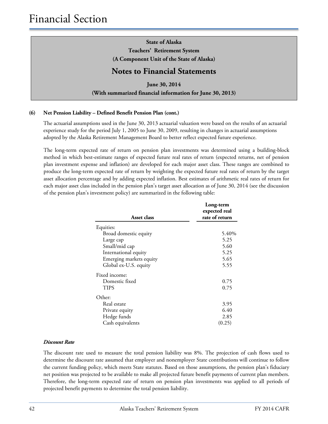# **Notes to Financial Statements**

**June 30, 2014 (With summarized financial information for June 30, 2013)**

#### **(6) Net Pension Liability – Defined Benefit Pension Plan (cont.)**

The actuarial assumptions used in the June 30, 2013 actuarial valuation were based on the results of an actuarial experience study for the period July 1, 2005 to June 30, 2009, resulting in changes in actuarial assumptions adopted by the Alaska Retirement Management Board to better reflect expected future experience.

The long-term expected rate of return on pension plan investments was determined using a building-block method in which best-estimate ranges of expected future real rates of return (expected returns, net of pension plan investment expense and inflation) are developed for each major asset class. These ranges are combined to produce the long-term expected rate of return by weighting the expected future real rates of return by the target asset allocation percentage and by adding expected inflation. Best estimates of arithmetic real rates of return for each major asset class included in the pension plan's target asset allocation as of June 30, 2014 (see the discussion of the pension plan's investment policy) are summarized in the following table:

| Asset class             | Long-term<br>expected real<br>rate of return |
|-------------------------|----------------------------------------------|
| Equities:               |                                              |
| Broad domestic equity   | 5.40%                                        |
| Large cap               | 5.25                                         |
| Small/mid cap           | 5.60                                         |
| International equity    | 5.25                                         |
| Emerging markets equity | 5.65                                         |
| Global ex-U.S. equity   | 5.55                                         |
| Fixed income:           |                                              |
| Domestic fixed          | 0.75                                         |
| TIPS                    | 0.75                                         |
| Other:                  |                                              |
| Real estate             | 3.95                                         |
| Private equity          | 6.40                                         |
| Hedge funds             | 2.85                                         |
| Cash equivalents        | (0.25)                                       |

#### *Discount Rate*

The discount rate used to measure the total pension liability was 8%. The projection of cash flows used to determine the discount rate assumed that employer and nonemployer State contributions will continue to follow the current funding policy, which meets State statutes. Based on those assumptions, the pension plan's fiduciary net position was projected to be available to make all projected future benefit payments of current plan members. Therefore, the long-term expected rate of return on pension plan investments was applied to all periods of projected benefit payments to determine the total pension liability.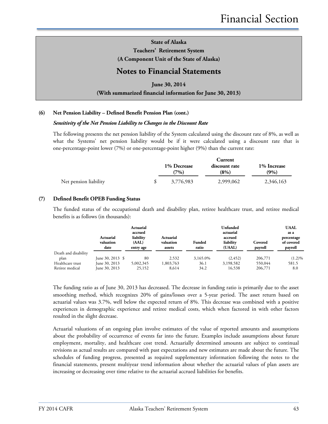**State of Alaska**

**Teachers' Retirement System**

**(A Component Unit of the State of Alaska)**

### **Notes to Financial Statements**

**June 30, 2014**

#### **(With summarized financial information for June 30, 2013)**

#### **(6) Net Pension Liability – Defined Benefit Pension Plan (cont.)**

#### *Sensitivity of the Net Pension Liability to Changes in the Discount Rate*

The following presents the net pension liability of the System calculated using the discount rate of 8%, as well as what the Systems' net pension liability would be if it were calculated using a discount rate that is one-percentage-point lower (7%) or one-percentage-point higher (9%) than the current rate:

|                       | Current                |                          |                        |
|-----------------------|------------------------|--------------------------|------------------------|
|                       | 1% Decrease<br>$(7\%)$ | discount rate<br>$(8\%)$ | 1% Increase<br>$(9\%)$ |
| Net pension liability | 3,776,983              | 2,999,062                | 2,346,163              |

#### **(7) Defined Benefit OPEB Funding Status**

The funded status of the occupational death and disability plan, retiree healthcare trust, and retiree medical benefits is as follows (in thousands):

|                      | <b>Actuarial</b><br>valuation<br>date | Actuarial<br>accrued<br>liability<br>(AAL)<br>entry age | Actuarial<br>valuation<br>assets | Funded<br>ratio | Unfunded<br>actuarial<br>accrued<br>liability<br>(UAAL) | Covered<br>payroll | <b>UAAL</b><br>as a<br>percentage<br>of covered<br>payroll |
|----------------------|---------------------------------------|---------------------------------------------------------|----------------------------------|-----------------|---------------------------------------------------------|--------------------|------------------------------------------------------------|
| Death and disability |                                       |                                                         |                                  |                 |                                                         |                    |                                                            |
| plan                 | June $30, 2013$ \$                    | 80                                                      | 2.532                            | 3,165.0%        | (2, 452)                                                | 206,771            | $(1.2)\%$                                                  |
| Healthcare trust     | June 30, 2013                         | 5,002,345                                               | 1,803,763                        | 36.1            | 3,198,582                                               | 550,044            | 581.5                                                      |
| Retiree medical      | June 30, 2013                         | 25,152                                                  | 8.614                            | 34.2            | 16,538                                                  | 206,771            | 8.0                                                        |

The funding ratio as of June 30, 2013 has decreased. The decrease in funding ratio is primarily due to the asset smoothing method, which recognizes 20% of gains/losses over a 5-year period. The asset return based on actuarial values was 3.7%, well below the expected return of 8%. This decrease was combined with a positive experiences in demographic experience and retiree medical costs, which when factored in with other factors resulted in the slight decrease.

Actuarial valuations of an ongoing plan involve estimates of the value of reported amounts and assumptions about the probability of occurrence of events far into the future. Examples include assumptions about future employment, mortality, and healthcare cost trend. Actuarially determined amounts are subject to continual revisions as actual results are compared with past expectations and new estimates are made about the future. The schedules of funding progress, presented as required supplementary information following the notes to the financial statements, present multiyear trend information about whether the actuarial values of plan assets are increasing or decreasing over time relative to the actuarial accrued liabilities for benefits.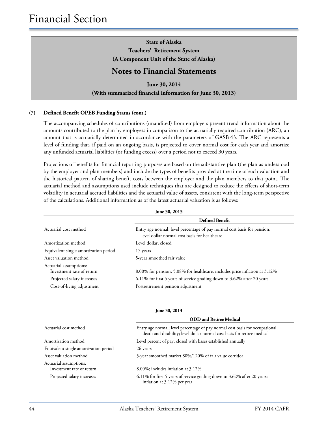# **Notes to Financial Statements**

**June 30, 2014 (With summarized financial information for June 30, 2013)**

#### **(7) Defined Benefit OPEB Funding Status (cont.)**

The accompanying schedules of contributions (unaudited) from employers present trend information about the amounts contributed to the plan by employers in comparison to the actuarially required contribution (ARC), an amount that is actuarially determined in accordance with the parameters of GASB 43. The ARC represents a level of funding that, if paid on an ongoing basis, is projected to cover normal cost for each year and amortize any unfunded actuarial liabilities (or funding excess) over a period not to exceed 30 years.

Projections of benefits for financial reporting purposes are based on the substantive plan (the plan as understood by the employer and plan members) and include the types of benefits provided at the time of each valuation and the historical pattern of sharing benefit costs between the employer and the plan members to that point. The actuarial method and assumptions used include techniques that are designed to reduce the effects of short-term volatility in actuarial accrued liabilities and the actuarial value of assets, consistent with the long-term perspective of the calculations. Additional information as of the latest actuarial valuation is as follows:

|                                                     | <b>Defined Benefit</b>                                                                                                    |
|-----------------------------------------------------|---------------------------------------------------------------------------------------------------------------------------|
| Actuarial cost method                               | Entry age normal; level percentage of pay normal cost basis for pension;<br>level dollar normal cost basis for healthcare |
| Amortization method                                 | Level dollar, closed                                                                                                      |
| Equivalent single amortization period               | 17 years                                                                                                                  |
| Asset valuation method                              | 5-year smoothed fair value                                                                                                |
| Actuarial assumptions:<br>Investment rate of return | 8.00% for pension, 5.08% for healthcare; includes price inflation at 3.12%                                                |
| Projected salary increases                          | 6.11% for first 5 years of service grading down to 3.62% after 20 years                                                   |
| Cost-of-living adjustment                           | Postretirement pension adjustment                                                                                         |

**June 30, 2013**

| 100, 2013                                                                                                                                                |  |  |  |
|----------------------------------------------------------------------------------------------------------------------------------------------------------|--|--|--|
| <b>ODD</b> and Retiree Medical                                                                                                                           |  |  |  |
| Entry age normal; level percentage of pay normal cost basis for occupational<br>death and disability; level dollar normal cost basis for retiree medical |  |  |  |
| Level percent of pay, closed with bases established annually                                                                                             |  |  |  |
| 26 years                                                                                                                                                 |  |  |  |
| 5-year smoothed market 80%/120% of fair value corridor                                                                                                   |  |  |  |
| 8.00%; includes inflation at 3.12%                                                                                                                       |  |  |  |
| 6.11% for first 5 years of service grading down to 3.62% after 20 years;<br>inflation at 3.12% per year                                                  |  |  |  |
|                                                                                                                                                          |  |  |  |

**June 30, 2013**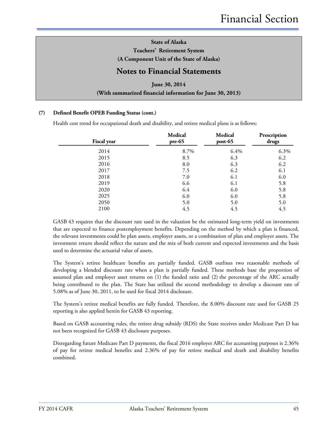**State of Alaska**

**Teachers' Retirement System**

**(A Component Unit of the State of Alaska)**

### **Notes to Financial Statements**

**June 30, 2014**

#### **(With summarized financial information for June 30, 2013)**

#### **(7) Defined Benefit OPEB Funding Status (cont.)**

**Medical Medical Prescription Fiscal year pre-65 post-65 drugs** 8.7% 6.4% 6.3% 8.5 6.3 6.2 8.0 6.3 6.2 7.5 6.2 6.1 7.0 6.1 6.0 6.6 6.1 5.8 6.4 6.0 5.8 6.0 6.0 5.8 5.0 5.0 5.0 4.5 4.5 4.5 2017 2025 2050 2100 2014 2015 2016 2019 2018 2020

Health cost trend for occupational death and disability, and retiree medical plans is as follows:

GASB 43 requires that the discount rate used in the valuation be the estimated long-term yield on investments that are expected to finance postemployment benefits. Depending on the method by which a plan is financed, the relevant investments could be plan assets, employer assets, or a combination of plan and employer assets. The investment return should reflect the nature and the mix of both current and expected investments and the basis used to determine the actuarial value of assets.

The System's retiree healthcare benefits are partially funded. GASB outlines two reasonable methods of developing a blended discount rate when a plan is partially funded. These methods base the proportion of assumed plan and employer asset returns on (1) the funded ratio and (2) the percentage of the ARC actually being contributed to the plan. The State has utilized the second methodology to develop a discount rate of 5.08% as of June 30, 2011, to be used for fiscal 2014 disclosure.

The System's retiree medical benefits are fully funded. Therefore, the 8.00% discount rate used for GASB 25 reporting is also applied herein for GASB 43 reporting.

Based on GASB accounting rules, the retiree drug subsidy (RDS) the State receives under Medicare Part D has not been recognized for GASB 43 disclosure purposes.

Disregarding future Medicare Part D payments, the fiscal 2016 employer ARC for accounting purposes is 2.36% of pay for retiree medical benefits and 2.36% of pay for retiree medical and death and disability benefits combined.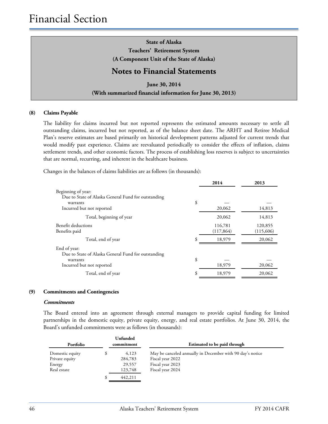# **Notes to Financial Statements**

**June 30, 2014 (With summarized financial information for June 30, 2013)**

#### **(8) Claims Payable**

The liability for claims incurred but not reported represents the estimated amounts necessary to settle all outstanding claims, incurred but not reported, as of the balance sheet date. The ARHT and Retiree Medical Plan's reserve estimates are based primarily on historical development patterns adjusted for current trends that would modify past experience. Claims are reevaluated periodically to consider the effects of inflation, claims settlement trends, and other economic factors. The process of establishing loss reserves is subject to uncertainties that are normal, recurring, and inherent in the healthcare business.

Changes in the balances of claims liabilities are as follows (in thousands):

|                                                     | 2014         | 2013      |
|-----------------------------------------------------|--------------|-----------|
| Beginning of year:                                  |              |           |
| Due to State of Alaska General Fund for outstanding |              |           |
| warrants                                            | \$           |           |
| Incurred but not reported                           | 20,062       | 14,813    |
| Total, beginning of year                            | 20,062       | 14,813    |
| Benefit deductions                                  | 116,781      | 120,855   |
| Benefits paid                                       | (117, 864)   | (115,606) |
| Total, end of year                                  | 18,979       | 20,062    |
| End of year:                                        |              |           |
| Due to State of Alaska General Fund for outstanding |              |           |
| warrants                                            | \$           |           |
| Incurred but not reported                           | 18,979       | 20,062    |
| Total, end of year                                  | \$<br>18,979 | 20,062    |
|                                                     |              |           |

#### **(9) Commitments and Contingencies**

#### *Commitments*

The Board entered into an agreement through external managers to provide capital funding for limited partnerships in the domestic equity, private equity, energy, and real estate portfolios. At June 30, 2014, the Board's unfunded commitments were as follows (in thousands):

| Portfolio       |   | <b>Unfunded</b><br>commitment | Estimated to be paid through                              |
|-----------------|---|-------------------------------|-----------------------------------------------------------|
| Domestic equity |   | 4,123                         | May be canceled annually in December with 90 day's notice |
| Private equity  |   | 284,783                       | Fiscal year 2022                                          |
| Energy          |   | 29,557                        | Fiscal year 2023                                          |
| Real estate     |   | 123,748                       | Fiscal year 2024                                          |
|                 | S | 442,211                       |                                                           |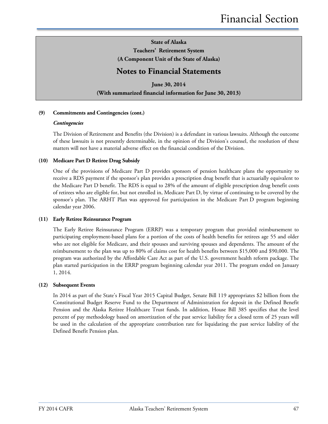**State of Alaska**

**Teachers' Retirement System**

### **(A Component Unit of the State of Alaska)**

### **Notes to Financial Statements**

**June 30, 2014 (With summarized financial information for June 30, 2013)**

#### **(9) Commitments and Contingencies (cont.)**

#### *Contingencies*

The Division of Retirement and Benefits (the Division) is a defendant in various lawsuits. Although the outcome of these lawsuits is not presently determinable, in the opinion of the Division's counsel, the resolution of these matters will not have a material adverse effect on the financial condition of the Division.

#### **(10) Medicare Part D Retiree Drug Subsidy**

One of the provisions of Medicare Part D provides sponsors of pension healthcare plans the opportunity to receive a RDS payment if the sponsor's plan provides a prescription drug benefit that is actuarially equivalent to the Medicare Part D benefit. The RDS is equal to 28% of the amount of eligible prescription drug benefit costs of retirees who are eligible for, but not enrolled in, Medicare Part D, by virtue of continuing to be covered by the sponsor's plan. The ARHT Plan was approved for participation in the Medicare Part D program beginning calendar year 2006.

#### **(11) Early Retiree Reinsurance Program**

The Early Retiree Reinsurance Program (ERRP) was a temporary program that provided reimbursement to participating employment-based plans for a portion of the costs of health benefits for retirees age 55 and older who are not eligible for Medicare, and their spouses and surviving spouses and dependents. The amount of the reimbursement to the plan was up to 80% of claims cost for health benefits between \$15,000 and \$90,000. The program was authorized by the Affordable Care Act as part of the U.S. government health reform package. The plan started participation in the ERRP program beginning calendar year 2011. The program ended on January 1, 2014.

#### **(12) Subsequent Events**

In 2014 as part of the State's Fiscal Year 2015 Capital Budget, Senate Bill 119 appropriates \$2 billion from the Constitutional Budget Reserve Fund to the Department of Administration for deposit in the Defined Benefit Pension and the Alaska Retiree Healthcare Trust funds. In addition, House Bill 385 specifies that the level percent of pay methodology based on amortization of the past service liability for a closed term of 25 years will be used in the calculation of the appropriate contribution rate for liquidating the past service liability of the Defined Benefit Pension plan.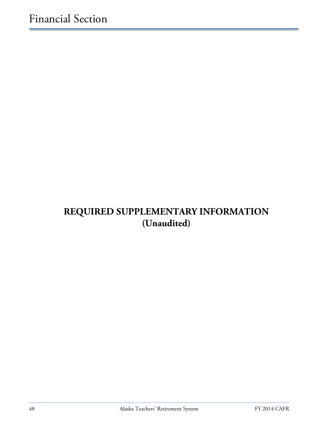# **REQUIRED SUPPLEMENTARY INFORMATION (Unaudited)**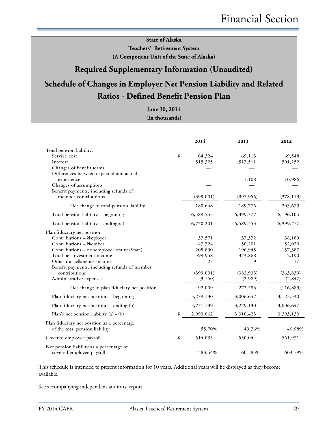# **Required Supplementary Information (Unaudited)**

# **Schedule of Changes in Employer Net Pension Liability and Related Ratios - Defined Benefit Pension Plan**

**June 30, 2014 (In thousands)**

|                                                                                 | 2014            | 2013       | 2012       |
|---------------------------------------------------------------------------------|-----------------|------------|------------|
| Total pension liability:                                                        |                 |            |            |
| Service cost                                                                    | \$<br>64,324    | 69,113     | 69,548     |
| Interest                                                                        | 515,325         | 517,511    | 501,252    |
| Changes of benefit terms                                                        |                 |            |            |
| Differences between expected and actual<br>experience<br>Changes of assumptions |                 | 1,108      | 10,986     |
| Benefit payments, including refunds of                                          |                 |            |            |
| member contributions                                                            | (399,001)       | (397, 956) | (378, 113) |
| Net change in total pension liability                                           | 180,648         | 189,776    | 203,673    |
| Total pension liability - beginning                                             | 6,589,553       | 6,399,777  | 6,196,104  |
| Total pension liability - ending (a)                                            | 6,770,201       | 6,589,553  | 6,399,777  |
| Plan fiduciary net position:                                                    |                 |            |            |
| Contributions - employer                                                        | 37,571          | 37,372     | 38,189     |
| Contributions - member                                                          | 47,724          | 50,201     | 52,020     |
| Contributions - nonemployer entity (State)                                      | 208,890         | 196,945    | 157,387    |
| Total net investment income                                                     | 599,958         | 373,868    | 2,190      |
| Other miscellaneous income                                                      | 27              | 19         | 17         |
| Benefit payments, including refunds of member                                   |                 |            |            |
| contributions                                                                   | (399,001)       | (382, 933) | (363, 839) |
| Administrative expenses                                                         | (3,160)         | (2,989)    | (2, 847)   |
| Net change in plan fiduciary net position                                       | 492,009         | 272,483    | (116, 883) |
| Plan fiduciary net position - beginning                                         | 3,279,130       | 3,006,647  | 3,123,530  |
| Plan fiduciary net position $-$ ending (b)                                      | 3,771,139       | 3,279,130  | 3,006,647  |
| Plan's net pension liability $(a) - (b)$                                        | \$<br>2,999,062 | 3,310,423  | 3,393,130  |
| Plan fiduciary net position as a percentage<br>of the total pension liability   | 55.70%          | 49.76%     | 46.98%     |
| Covered-employee payroll                                                        | \$<br>514,035   | 550,044    | 561,971    |
| Net pension liability as a percentage of<br>covered-employee payroll            | 583.44%         | 601.85%    | 603.79%    |

This schedule is intended to present information for 10 years. Additional years will be displayed as they become available.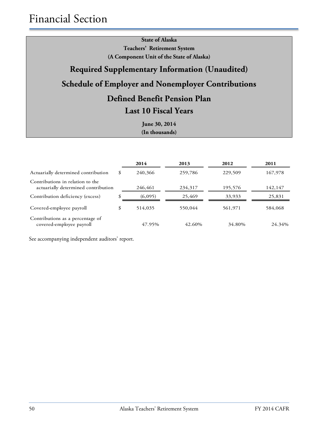# **Required Supplementary Information (Unaudited)**

# **Schedule of Employer and Nonemployer Contributions**

# **Defined Benefit Pension Plan**

# **Last 10 Fiscal Years**

**June 30, 2014 (In thousands)**

|                                                                         | 2014          | 2013    | 2012    | 2011    |
|-------------------------------------------------------------------------|---------------|---------|---------|---------|
| Actuarially determined contribution                                     | \$<br>240,366 | 259,786 | 229,509 | 167,978 |
| Contributions in relation to the<br>actuarially determined contribution | 246,461       | 234,317 | 195,576 | 142,147 |
| Contribution deficiency (excess)                                        | (6,095)       | 25,469  | 33,933  | 25,831  |
| Covered-employee payroll                                                | \$<br>514,035 | 550,044 | 561,971 | 584,068 |
| Contributions as a percentage of<br>covered-employee payroll            | 47.95%        | 42.60%  | 34.80%  | 24.34%  |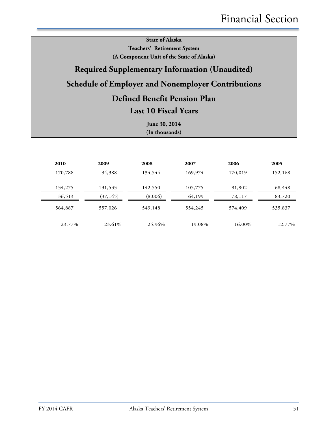| <b>State of Alaska</b>                                    |  |
|-----------------------------------------------------------|--|
| Teachers' Retirement System                               |  |
| (A Component Unit of the State of Alaska)                 |  |
| <b>Required Supplementary Information (Unaudited)</b>     |  |
| <b>Schedule of Employer and Nonemployer Contributions</b> |  |
| <b>Defined Benefit Pension Plan</b>                       |  |
| <b>Last 10 Fiscal Years</b>                               |  |

| June 30, 2014  |
|----------------|
| (In thousands) |
|                |

| 2010    | 2009      | 2008    | 2007    | 2006    | 2005    |
|---------|-----------|---------|---------|---------|---------|
| 170,788 | 94,388    | 134,544 | 169,974 | 170,019 | 152,168 |
| 134,275 | 131,533   | 142,550 | 105,775 | 91,902  | 68,448  |
| 36,513  | (37, 145) | (8,006) | 64,199  | 78,117  | 83,720  |
| 564,887 | 557,026   | 549.148 | 554,245 | 574,409 | 535,837 |
| 23.77%  | 23.61%    | 25.96%  | 19.08%  | 16.00%  | 12.77%  |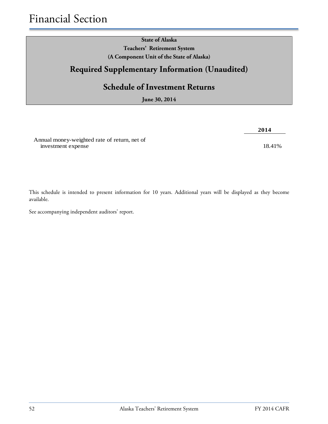# **Required Supplementary Information (Unaudited)**

# **Schedule of Investment Returns**

**June 30, 2014**

Annual money-weighted rate of return, net of investment expense 18.41%

This schedule is intended to present information for 10 years. Additional years will be displayed as they become available.

See accompanying independent auditors' report.

**2014**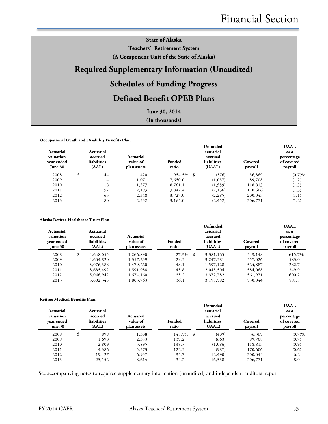**Unfunded UAAL**

**State of Alaska Teachers' Retirement System (A Component Unit of the State of Alaska) Required Supplementary Information (Unaudited) Schedules of Funding Progress Defined Benefit OPEB Plans**

**June 30, 2014**

**(In thousands)**

**Occupational Death and Disability Benefits Plan**

| Actuarial<br>valuation<br>vear ended<br>June 30 | Actuarial<br>accrued<br>liabilities<br>(AAL) | Actuarial<br>value of<br>plan assets | Funded<br>ratio | Unfunded<br>actuarial<br>accrued<br>liabilities<br>(UAAL) | Covered<br>payroll | <b>UAAL</b><br>as a<br>percentage<br>of covered<br>payroll |
|-------------------------------------------------|----------------------------------------------|--------------------------------------|-----------------|-----------------------------------------------------------|--------------------|------------------------------------------------------------|
| 2008                                            | \$<br>44                                     | 420                                  | 954.5%<br>- \$  | (376)                                                     | 56,369             | (0.7)%                                                     |
| 2009                                            | 14                                           | 1,071                                | 7,650.0         | (1,057)                                                   | 89,708             | (1.2)                                                      |
| 2010                                            | 18                                           | 1,577                                | 8,761.1         | (1, 559)                                                  | 118,813            | (1.3)                                                      |
| 2011                                            | 57                                           | 2,193                                | 3,847.4         | (2, 136)                                                  | 170,606            | (1.3)                                                      |
| 2012                                            | 63                                           | 2,348                                | 3,727.0         | (2, 285)                                                  | 200,043            | (1.1)                                                      |
| 2013                                            | 80                                           | 2,532                                | 3,165.0         | (2, 452)                                                  | 206,771            | (1.2)                                                      |

#### **Alaska Retiree Healthcare Trust Plan**

| (AAL)<br>(UAAL)<br>payroll<br>June 30<br>ratio<br>plan assets               | of covered<br>payroll |
|-----------------------------------------------------------------------------|-----------------------|
| 4,648,055<br>1,266,890<br>549,148<br>2008<br>27.3%<br>\$<br>\$<br>3,381,165 | 615.7%                |
| 2009<br>4,604,820<br>29.5<br>3,247,581<br>557,026<br>1,357,239              | 583.0                 |
| 48.1<br>564,887<br>3,076,388<br>1,479,260<br>2010<br>1,597,128              | 282.7                 |
| 43.8<br>584,068<br>2011<br>3,635,492<br>2,043,504<br>1,591,988              | 349.9                 |
| 5,046,942<br>2012<br>1,674,160<br>33.2<br>3,372,782<br>561,971              | 600.2                 |
| 2013<br>5,002,345<br>36.1<br>550,044<br>1,803,763<br>3,198,582              | 581.5                 |

#### **Retiree Medical Benefits Plan**

| Actuarial<br>valuation<br>vear ended<br>June 30 | Actuarial<br>accrued<br>liabilities<br>(AAL) | Actuarial<br>value of<br>plan assets | Funded<br>ratio | Unfunded<br>actuarial<br>accrued<br>liabilities<br>(UAAL) | Covered<br>payroll | <b>UAAL</b><br>as a<br>percentage<br>of covered<br>payroll |
|-------------------------------------------------|----------------------------------------------|--------------------------------------|-----------------|-----------------------------------------------------------|--------------------|------------------------------------------------------------|
| 2008                                            | \$<br>899                                    | 1,308                                | 145.5%<br>- S   | (409)                                                     | 56,369             | (0.7)%                                                     |
| 2009                                            | 1,690                                        | 2,353                                | 139.2           | (663)                                                     | 89,708             | (0.7)                                                      |
| 2010                                            | 2,809                                        | 3,895                                | 138.7           | (1,086)                                                   | 118,813            | (0.9)                                                      |
| 2011                                            | 4,386                                        | 5,373                                | 122.5           | (987)                                                     | 170,606            | (0.6)                                                      |
| 2012                                            | 19,427                                       | 6,937                                | 35.7            | 12,490                                                    | 200,043            | 6.2                                                        |
| 2013                                            | 25,152                                       | 8.614                                | 34.2            | 16,538                                                    | 206,771            | 8.0                                                        |

See accompanying notes to required supplementary information (unaudited) and independent auditors' report.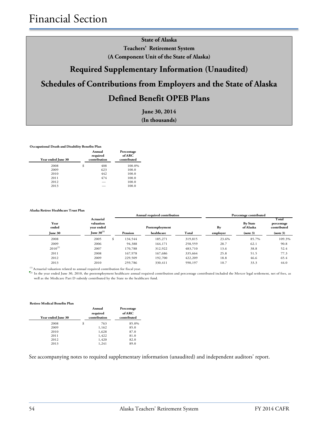# **Required Supplementary Information (Unaudited)**

# **Schedules of Contributions from Employers and the State of Alaska**

# **Defined Benefit OPEB Plans**

**June 30, 2014 (In thousands)**

| Year ended June 30 | Annual<br>required<br>contribution | Percentage<br>of ARC<br>contributed |
|--------------------|------------------------------------|-------------------------------------|
| 2008               | \$<br>408                          | 100.0%                              |
| 2009               | 623                                | 100.0                               |
| 2010               | 442                                | 100.0                               |
| 2011               | 474                                | 100.0                               |
| 2012               |                                    | 100.0                               |
| 2013               |                                    | 100.0                               |

#### **Alaska Retiree Healthcare Trust Plan**

|               |                                      | Annual required contribution |                |         | Percentage contributed |                              |                                    |
|---------------|--------------------------------------|------------------------------|----------------|---------|------------------------|------------------------------|------------------------------------|
| Year<br>ended | Actuarial<br>valuation<br>vear ended |                              | Postemployment |         | By                     | <b>By State</b><br>of Alaska | Total<br>percentage<br>contributed |
| June 30       | June $30^{(1)}$                      | Pension                      | healthcare     | Total   | employer               | (note 3)                     | (note 3)                           |
| 2008          | 2005<br>S.                           | 134,544                      | 185,271        | 319,815 | 23.6%                  | 85.7%                        | 109.3%                             |
| 2009          | 2006                                 | 94,388                       | 164,171        | 258,559 | 28.7                   | 62.1                         | 90.8                               |
| $2010^{(2)}$  | 2007                                 | 170,788                      | 312,922        | 483,710 | 13.6                   | 38.8                         | 52.4                               |
| 2011          | 2008                                 | 167,978                      | 167,686        | 335,664 | 25.8                   | 51.5                         | 77.3                               |
| 2012          | 2009                                 | 229,509                      | 192,700        | 422,209 | 18.8                   | 46.6                         | 65.4                               |
| 2013          | 2010                                 | 259,786                      | 330,411        | 590,197 | 10.7                   | 33.3                         | 44.0                               |

 $^{(1)}$  Actuarial valuation related to annual required contribution for fiscal year.

 $^{(2)}$  In the year ended June 30, 2010, the postemployment healthcare annual required contribution and percentage contributed included the Mercer legal settlement, net of fees, as well as the Medicare Part D subsidy contributed by the State to the healthcare fund.

#### **Retiree Medical Benefits Plan**

|                    | Annual<br>required | Percentage<br>of ARC |
|--------------------|--------------------|----------------------|
| Year ended June 30 | contribution       | contributed          |
| 2008               | \$<br>763          | 85.0%                |
| 2009               | 1,162              | 85.0                 |
| 2010               | 1,628              | 87.0                 |
| 2011               | 1,422              | 81.0                 |
| 2012               | 1,420              | 82.0                 |
| 2013               | 1,241              | 89.0                 |
|                    |                    |                      |

See accompanying notes to required supplementary information (unaudited) and independent auditors' report.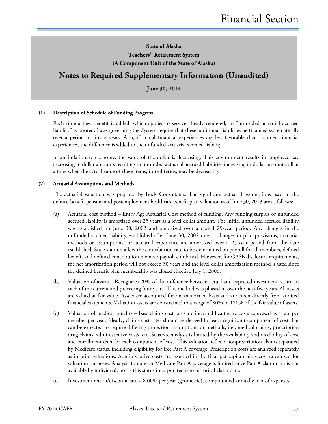# **Notes to Required Supplementary Information (Unaudited)**

**June 30, 2014**

#### **(1) Description of Schedule of Funding Progress**

Each time a new benefit is added, which applies to service already rendered, an "unfunded actuarial accrued liability" is created. Laws governing the System require that these additional liabilities be financed systematically over a period of future years. Also, if actual financial experiences are less favorable than assumed financial experiences, the difference is added to the unfunded actuarial accrued liability.

In an inflationary economy, the value of the dollar is decreasing. This environment results in employee pay increasing in dollar amounts resulting in unfunded actuarial accrued liabilities increasing in dollar amounts, all at a time when the actual value of these items, in real terms, may be decreasing.

#### **(2) Actuarial Assumptions and Methods**

The actuarial valuation was prepared by Buck Consultants. The significant actuarial assumptions used in the defined benefit pension and postemployment healthcare benefit plan valuation as of June 30, 2013 are as follows:

- (a) Actuarial cost method Entry Age Actuarial Cost method of funding. Any funding surplus or unfunded accrued liability is amortized over 25 years as a level dollar amount. The initial unfunded accrued liability was established on June 30, 2002 and amortized over a closed 25-year period. Any changes in the unfunded accrued liability established after June 30, 2002 due to changes in plan provisions, actuarial methods or assumptions, or actuarial experience are amortized over a 25-year period from the date established. State statutes allow the contribution rate to be determined on payroll for all members, defined benefit and defined contribution member payroll combined. However, for GASB disclosure requirements, the net amortization period will not exceed 30 years and the level dollar amortization method is used since the defined benefit plan membership was closed effective July 1, 2006.
- (b) Valuation of assets Recognizes 20% of the difference between actual and expected investment return in each of the current and preceding four years. This method was phased in over the next five years. All assets are valued at fair value. Assets are accounted for on an accrued basis and are taken directly from audited financial statements. Valuation assets are constrained to a range of 80% to 120% of the fair value of assets.
- (c) Valuation of medical benefits Base claims cost rates are incurred healthcare costs expressed as a rate per member per year. Ideally, claims cost rates should be derived for each significant component of cost that can be expected to require differing projection assumptions or methods, i.e., medical claims, prescription drug claims, administrative costs, etc. Separate analysis is limited by the availability and credibility of cost and enrollment data for each component of cost. This valuation reflects nonprescription claims separated by Medicare status, including eligibility for free Part A coverage. Prescription costs are analyzed separately as in prior valuations. Administrative costs are assumed in the final per capita claims cost rates used for valuation purposes. Analysis to date on Medicare Part A coverage is limited since Part A claim data is not available by individual, nor is this status incorporated into historical claim data.
- (d) Investment return/discount rate 8.00% per year (geometric), compounded annually, net of expenses.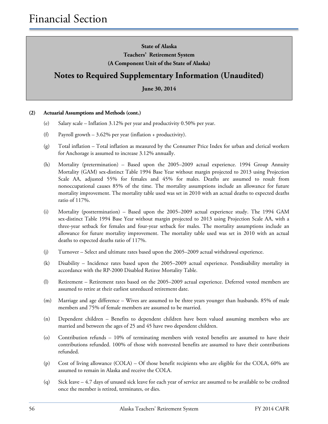# **Notes to Required Supplementary Information (Unaudited)**

**June 30, 2014**

#### **(2) Actuarial Assumptions and Methods (cont.)**

- (e) Salary scale Inflation 3.12% per year and productivity 0.50% per year.
- (f) Payroll growth  $-3.62\%$  per year (inflation + productivity).
- (g) Total inflation Total inflation as measured by the Consumer Price Index for urban and clerical workers for Anchorage is assumed to increase 3.12% annually.
- (h) Mortality (pretermination) Based upon the 2005–2009 actual experience. 1994 Group Annuity Mortality (GAM) sex-distinct Table 1994 Base Year without margin projected to 2013 using Projection Scale AA, adjusted 55% for females and 45% for males. Deaths are assumed to result from nonoccupational causes 85% of the time. The mortality assumptions include an allowance for future mortality improvement. The mortality table used was set in 2010 with an actual deaths to expected deaths ratio of 117%.
- (i) Mortality (posttermination) Based upon the 2005–2009 actual experience study. The 1994 GAM sex-distinct Table 1994 Base Year without margin projected to 2013 using Projection Scale AA, with a three-year setback for females and four-year setback for males. The mortality assumptions include an allowance for future mortality improvement. The mortality table used was set in 2010 with an actual deaths to expected deaths ratio of 117%.
- (j) Turnover Select and ultimate rates based upon the 2005–2009 actual withdrawal experience.
- (k) Disability Incidence rates based upon the 2005–2009 actual experience. Postdisability mortality in accordance with the RP-2000 Disabled Retiree Mortality Table.
- (l) Retirement Retirement rates based on the 2005–2009 actual experience. Deferred vested members are assumed to retire at their earliest unreduced retirement date.
- (m) Marriage and age difference Wives are assumed to be three years younger than husbands. 85% of male members and 75% of female members are assumed to be married.
- (n) Dependent children Benefits to dependent children have been valued assuming members who are married and between the ages of 25 and 45 have two dependent children.
- (o) Contribution refunds 10% of terminating members with vested benefits are assumed to have their contributions refunded. 100% of those with nonvested benefits are assumed to have their contributions refunded.
- (p) Cost of living allowance (COLA) Of those benefit recipients who are eligible for the COLA, 60% are assumed to remain in Alaska and receive the COLA.
- (q) Sick leave 4.7 days of unused sick leave for each year of service are assumed to be available to be credited once the member is retired, terminates, or dies.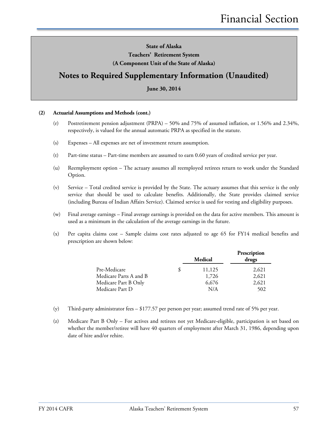# **Notes to Required Supplementary Information (Unaudited)**

**June 30, 2014**

#### **(2) Actuarial Assumptions and Methods (cont.)**

- (r) Postretirement pension adjustment (PRPA) 50% and 75% of assumed inflation, or 1.56% and 2.34%, respectively, is valued for the annual automatic PRPA as specified in the statute.
- (s) Expenses All expenses are net of investment return assumption.
- (t) Part-time status Part-time members are assumed to earn 0.60 years of credited service per year.
- (u) Reemployment option The actuary assumes all reemployed retirees return to work under the Standard Option.
- (v) Service Total credited service is provided by the State. The actuary assumes that this service is the only service that should be used to calculate benefits. Additionally, the State provides claimed service (including Bureau of Indian Affairs Service). Claimed service is used for vesting and eligibility purposes.
- (w) Final average earnings Final average earnings is provided on the data for active members. This amount is used as a minimum in the calculation of the average earnings in the future.
- (x) Per capita claims cost Sample claims cost rates adjusted to age 65 for FY14 medical benefits and prescription are shown below:

|                        | Medical | Prescription<br>drugs |
|------------------------|---------|-----------------------|
| Pre-Medicare           | 11,125  | 2,621                 |
| Medicare Parts A and B | 1,726   | 2,621                 |
| Medicare Part B Only   | 6,676   | 2,621                 |
| Medicare Part D        | N/A     | 502                   |
|                        |         |                       |

- (y) Third-party administrator fees \$177.57 per person per year; assumed trend rate of 5% per year.
- (z) Medicare Part B Only For actives and retirees not yet Medicare-eligible, participation is set based on whether the member/retiree will have 40 quarters of employment after March 31, 1986, depending upon date of hire and/or rehire.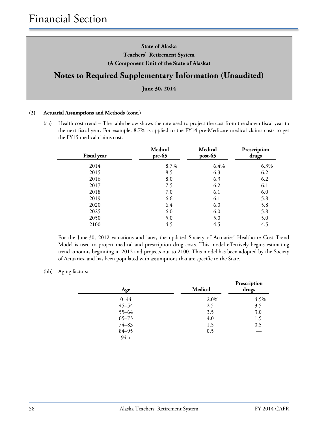# **Notes to Required Supplementary Information (Unaudited)**

**June 30, 2014**

#### **(2) Actuarial Assumptions and Methods (cont.)**

(aa) Health cost trend – The table below shows the rate used to project the cost from the shown fiscal year to the next fiscal year. For example, 8.7% is applied to the FY14 pre-Medicare medical claims costs to get the FY15 medical claims cost.

| <b>Fiscal year</b> | Medical<br>$pre-65$ | <b>Medical</b><br>post-65 | Prescription<br>drugs |
|--------------------|---------------------|---------------------------|-----------------------|
| 2014               | 8.7%                | 6.4%                      | 6.3%                  |
| 2015               | 8.5                 | 6.3                       | 6.2                   |
| 2016               | 8.0                 | 6.3                       | 6.2                   |
| 2017               | 7.5                 | 6.2                       | 6.1                   |
| 2018               | 7.0                 | 6.1                       | 6.0                   |
| 2019               | 6.6                 | 6.1                       | 5.8                   |
| 2020               | 6.4                 | 6.0                       | 5.8                   |
| 2025               | 6.0                 | 6.0                       | 5.8                   |
| 2050               | 5.0                 | 5.0                       | 5.0                   |
| 2100               | 4.5                 | 4.5                       | 4.5                   |

For the June 30, 2012 valuations and later, the updated Society of Actuaries' Healthcare Cost Trend Model is used to project medical and prescription drug costs. This model effectively begins estimating trend amounts beginning in 2012 and projects out to 2100. This model has been adopted by the Society of Actuaries, and has been populated with assumptions that are specific to the State.

(bb) Aging factors:

| Age       | <b>Medical</b> | Prescription<br>drugs |
|-----------|----------------|-----------------------|
| $0 - 44$  | 2.0%           | 4.5%                  |
| $45 - 54$ | 2.5            | 3.5                   |
| $55 - 64$ | 3.5            | 3.0                   |
| $65 - 73$ | 4.0            | 1.5                   |
| $74 - 83$ | 1.5            | 0.5                   |
| $84 - 95$ | 0.5            |                       |
| $94 +$    |                |                       |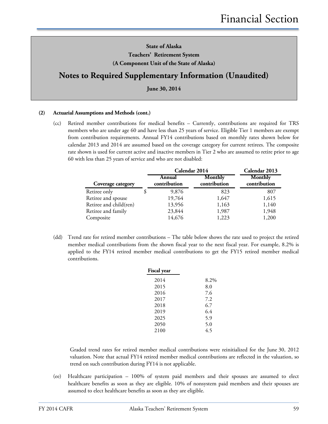# **Notes to Required Supplementary Information (Unaudited)**

**June 30, 2014**

#### **(2) Actuarial Assumptions and Methods (cont.)**

(cc) Retired member contributions for medical benefits – Currently, contributions are required for TRS members who are under age 60 and have less than 25 years of service. Eligible Tier 1 members are exempt from contribution requirements. Annual FY14 contributions based on monthly rates shown below for calendar 2013 and 2014 are assumed based on the coverage category for current retirees. The composite rate shown is used for current active and inactive members in Tier 2 who are assumed to retire prior to age 60 with less than 25 years of service and who are not disabled:

|                        | Calendar 2014          | Calendar 2013           |                         |
|------------------------|------------------------|-------------------------|-------------------------|
| Coverage category      | Annual<br>contribution | Monthly<br>contribution | Monthly<br>contribution |
| Retiree only           | 9,876                  | 823                     | 807                     |
| Retiree and spouse     | 19,764                 | 1,647                   | 1,615                   |
| Retiree and child(ren) | 13,956                 | 1,163                   | 1,140                   |
| Retiree and family     | 23,844                 | 1,987                   | 1,948                   |
| Composite              | 14,676                 | 1,223                   | 1,200                   |

(dd) Trend rate for retired member contributions – The table below shows the rate used to project the retired member medical contributions from the shown fiscal year to the next fiscal year. For example, 8.2% is applied to the FY14 retired member medical contributions to get the FY15 retired member medical contributions.

| <b>Fiscal year</b> |      |
|--------------------|------|
| 2014               | 8.2% |
| 2015               | 8.0  |
| 2016               | 7.6  |
| 2017               | 7.2  |
| 2018               | 6.7  |
| 2019               | 6.4  |
| 2025               | 5.9  |
| 2050               | 5.0  |
| 2100               | 4.5  |
|                    |      |

Graded trend rates for retired member medical contributions were reinitialized for the June 30, 2012 valuation. Note that actual FY14 retired member medical contributions are reflected in the valuation, so trend on such contribution during FY14 is not applicable.

(ee) Healthcare participation – 100% of system paid members and their spouses are assumed to elect healthcare benefits as soon as they are eligible. 10% of nonsystem paid members and their spouses are assumed to elect healthcare benefits as soon as they are eligible.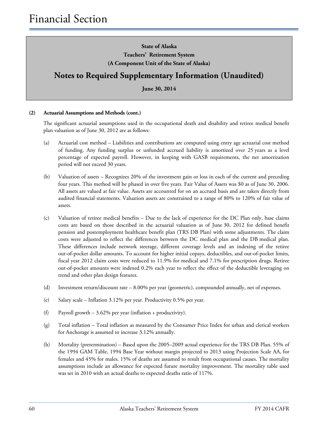# **Notes to Required Supplementary Information (Unaudited)**

**June 30, 2014**

#### **(2) Actuarial Assumptions and Methods (cont.)**

The significant actuarial assumptions used in the occupational death and disability and retiree medical benefit plan valuation as of June 30, 2012 are as follows:

- (a) Actuarial cost method Liabilities and contributions are computed using entry age actuarial cost method of funding. Any funding surplus or unfunded accrued liability is amortized over 25 years as a level percentage of expected payroll. However, in keeping with GASB requirements, the net amortization period will not exceed 30 years.
- (b) Valuation of assets Recognizes 20% of the investment gain or loss in each of the current and preceding four years. This method will be phased in over five years. Fair Value of Assets was \$0 as of June 30, 2006. All assets are valued at fair value. Assets are accounted for on an accrued basis and are taken directly from audited financial statements. Valuation assets are constrained to a range of 80% to 120% of fair value of assets.
- (c) Valuation of retiree medical benefits Due to the lack of experience for the DC Plan only, base claims costs are based on those described in the actuarial valuation as of June 30, 2012 for defined benefit pension and postemployment healthcare benefit plan (TRS DB Plan) with some adjustments. The claim costs were adjusted to reflect the differences between the DC medical plan and the DB medical plan. These differences include network steerage, different coverage levels and an indexing of the retiree out-of-pocket dollar amounts. To account for higher initial copays, deductibles, and out-of-pocket limits, fiscal year 2012 claim costs were reduced to 11.9% for medical and 7.1% for prescription drugs. Retiree out-of-pocket amounts were indexed 0.2% each year to reflect the effect of the deductible leveraging on trend and other plan design features.
- (d) Investment return/discount rate 8.00% per year (geometric), compounded annually, net of expenses.
- (e) Salary scale Inflation 3.12% per year. Productivity 0.5% per year.
- (f) Payroll growth  $-3.62\%$  per year (inflation + productivity).
- (g) Total inflation Total inflation as measured by the Consumer Price Index for urban and clerical workers for Anchorage is assumed to increase 3.12% annually.
- (h) Mortality (pretermination) Based upon the 2005–2009 actual experience for the TRS DB Plan. 55% of the 1994 GAM Table, 1994 Base Year without margin projected to 2013 using Projection Scale AA, for females and 45% for males. 15% of deaths are assumed to result from occupational causes. The mortality assumptions include an allowance for expected future mortality improvement. The mortality table used was set in 2010 with an actual deaths to expected deaths ratio of 117%.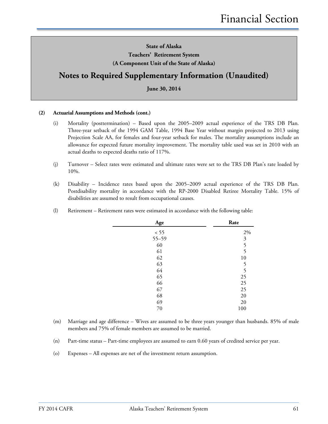# **Notes to Required Supplementary Information (Unaudited)**

**June 30, 2014**

#### **(2) Actuarial Assumptions and Methods (cont.)**

- (i) Mortality (posttermination) Based upon the 2005–2009 actual experience of the TRS DB Plan. Three-year setback of the 1994 GAM Table, 1994 Base Year without margin projected to 2013 using Projection Scale AA, for females and four-year setback for males. The mortality assumptions include an allowance for expected future mortality improvement. The mortality table used was set in 2010 with an actual deaths to expected deaths ratio of 117%.
- (j) Turnover Select rates were estimated and ultimate rates were set to the TRS DB Plan's rate loaded by 10%.
- (k) Disability Incidence rates based upon the 2005–2009 actual experience of the TRS DB Plan. Postdisability mortality in accordance with the RP-2000 Disabled Retiree Mortality Table. 15% of disabilities are assumed to result from occupational causes.

|  | (l) Retirement – Retirement rates were estimated in accordance with the following table: |  |  |  |
|--|------------------------------------------------------------------------------------------|--|--|--|
|  |                                                                                          |  |  |  |

| Age       | Rate           |
|-----------|----------------|
| < 55      | $2\%$          |
| $55 - 59$ | $\mathfrak{Z}$ |
| 60        | 5              |
| 61        | 5              |
| 62        | 10             |
| 63        | 5              |
| 64        | 5              |
| 65        | 25             |
| 66        | $25\,$         |
| 67        | 25             |
| 68        | 20             |
| 69        | 20             |
| 70        | 100            |

- (m) Marriage and age difference Wives are assumed to be three years younger than husbands. 85% of male members and 75% of female members are assumed to be married.
- (n) Part-time status Part-time employees are assumed to earn 0.60 years of credited service per year.
- (o) Expenses All expenses are net of the investment return assumption.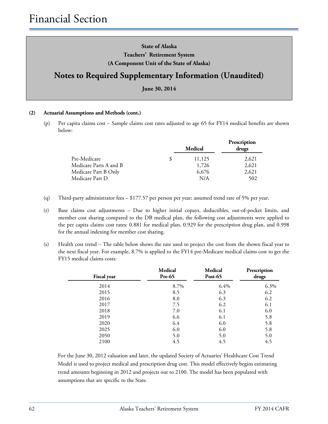# **Notes to Required Supplementary Information (Unaudited)**

**June 30, 2014**

#### **(2) Actuarial Assumptions and Methods (cont.)**

(p) Per capita claims cost – Sample claims cost rates adjusted to age 65 for FY14 medical benefits are shown below:

| Medical      | Prescription<br>drugs |
|--------------|-----------------------|
| \$<br>11,125 | 2,621                 |
| 1,726        | 2,621                 |
| 6,676        | 2,621                 |
| N/A          | 502                   |
|              |                       |

- (q) Third-party administrator fees \$177.57 per person per year; assumed trend rate of 5% per year.
- (r) Base claims cost adjustments Due to higher initial copays, deductibles, out-of-pocket limits, and member cost sharing compared to the DB medical plan, the following cost adjustments were applied to the per capita claims cost rates: 0.881 for medical plan, 0.929 for the prescription drug plan, and 0.998 for the annual indexing for member cost sharing.
- (s) Health cost trend The table below shows the rate used to project the cost from the shown fiscal year to the next fiscal year. For example, 8.7% is applied to the FY14 pre-Medicare medical claims cost to get the FY15 medical claims costs:

| <b>Fiscal year</b> | Medical<br><b>Pre-65</b> | Medical<br>Post- $65$ | Prescription<br>drugs |
|--------------------|--------------------------|-----------------------|-----------------------|
| 2014               | 8.7%                     | 6.4%                  | 6.3%                  |
| 2015               | 8.5                      | 6.3                   | 6.2                   |
| 2016               | 8.0                      | 6.3                   | 6.2                   |
| 2017               | 7.5                      | 6.2                   | 6.1                   |
| 2018               | 7.0                      | 6.1                   | 6.0                   |
| 2019               | 6.6                      | 6.1                   | 5.8                   |
| 2020               | 6.4                      | 6.0                   | 5.8                   |
| 2025               | 6.0                      | 6.0                   | 5.8                   |
| 2050               | 5.0                      | 5.0                   | 5.0                   |
| 2100               | 4.5                      | 4.5                   | 4.5                   |

For the June 30, 2012 valuation and later, the updated Society of Actuaries' Healthcare Cost Trend Model is used to project medical and prescription drug cost. This model effectively begins estimating trend amounts beginning in 2012 and projects out to 2100. The model has been populated with assumptions that are specific to the State.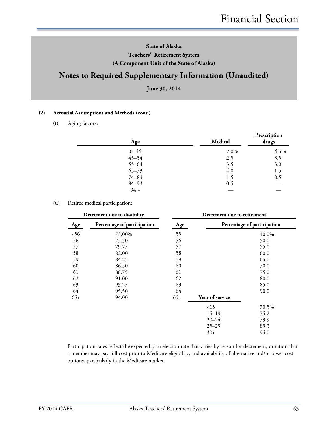# **Notes to Required Supplementary Information (Unaudited)**

**June 30, 2014**

#### **(2) Actuarial Assumptions and Methods (cont.)**

(t) Aging factors:

| Age       | <b>Medical</b> | Prescription<br>drugs |
|-----------|----------------|-----------------------|
| $0 - 44$  | 2.0%           | 4.5%                  |
| $45 - 54$ | 2.5            | 3.5                   |
| $55 - 64$ | 3.5            | 3.0                   |
| $65 - 73$ | 4.0            | 1.5                   |
| $74 - 83$ | 1.5            | 0.5                   |
| $84 - 93$ | 0.5            |                       |
| $94 +$    |                |                       |

#### (u) Retiree medical participation:

| Decrement due to disability |                             | Decrement due to retirement |                             |       |  |
|-----------------------------|-----------------------------|-----------------------------|-----------------------------|-------|--|
| Age                         | Percentage of participation | Age                         | Percentage of participation |       |  |
| 56                          | 73.00%                      | 55                          |                             | 40.0% |  |
| 56                          | 77.50                       | 56                          |                             | 50.0  |  |
| 57                          | 79.75                       | 57                          |                             | 55.0  |  |
| 58                          | 82.00                       | 58                          |                             | 60.0  |  |
| 59                          | 84.25                       | 59                          |                             | 65.0  |  |
| 60                          | 86.50                       | 60                          |                             | 70.0  |  |
| 61                          | 88.75                       | 61                          |                             | 75.0  |  |
| 62                          | 91.00                       | 62                          |                             | 80.0  |  |
| 63                          | 93.25                       | 63                          |                             | 85.0  |  |
| 64                          | 95.50                       | 64                          |                             | 90.0  |  |
| $65+$                       | 94.00                       | $65+$                       | Year of service             |       |  |
|                             |                             |                             | <15                         | 70.5% |  |
|                             |                             |                             | $15 - 19$                   | 75.2  |  |
|                             |                             |                             | $20 - 24$                   | 79.9  |  |
|                             |                             |                             | $25 - 29$                   | 89.3  |  |
|                             |                             |                             | $30+$                       | 94.0  |  |

Participation rates reflect the expected plan election rate that varies by reason for decrement, duration that a member may pay full cost prior to Medicare eligibility, and availability of alternative and/or lower cost options, particularly in the Medicare market.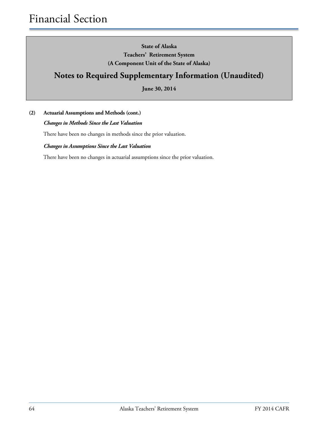# **Notes to Required Supplementary Information (Unaudited)**

**June 30, 2014**

#### **(2) Actuarial Assumptions and Methods (cont.)**

#### *Changes in Methods Since the Last Valuation*

There have been no changes in methods since the prior valuation.

#### *Changes in Assumptions Since the Last Valuation*

There have been no changes in actuarial assumptions since the prior valuation.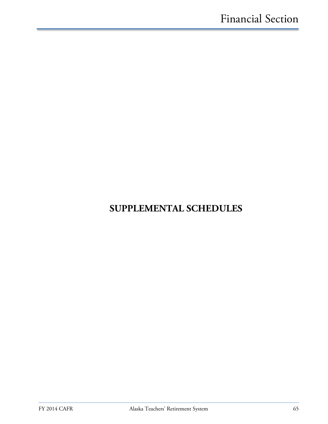# **SUPPLEMENTAL SCHEDULES**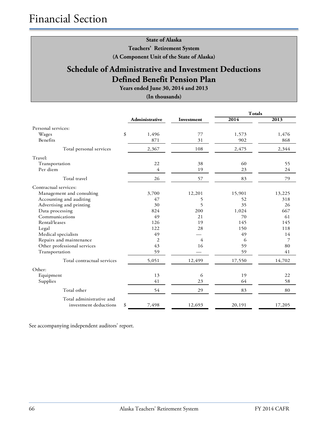**State of Alaska**

**Teachers' Retirement System**

**(A Component Unit of the State of Alaska)**

# **Schedule of Administrative and Investment Deductions Defined Benefit Pension Plan**

**Years ended June 30, 2014 and 2013**

**(In thousands)**

|                             |                |            | <b>Totals</b> |        |  |
|-----------------------------|----------------|------------|---------------|--------|--|
|                             | Administrative | Investment | 2014          | 2013   |  |
| Personal services:          |                |            |               |        |  |
| \$<br>Wages                 | 1,496          | 77         | 1,573         | 1,476  |  |
| Benefits                    | 871            | 31         | 902           | 868    |  |
| Total personal services     | 2,367          | 108        | 2,475         | 2,344  |  |
| Travel:                     |                |            |               |        |  |
| Transportation              | 22             | 38         | 60            | 55     |  |
| Per diem                    | 4              | 19         | 23            | 24     |  |
| Total travel                | 26             | 57         | 83            | 79     |  |
| Contractual services:       |                |            |               |        |  |
| Management and consulting   | 3,700          | 12,201     | 15,901        | 13,225 |  |
| Accounting and auditing     | 47             | 5          | 52            | 318    |  |
| Advertising and printing    | 30             | 5          | 35            | 26     |  |
| Data processing             | 824            | 200        | 1,024         | 667    |  |
| Communications              | 49             | 21         | 70            | 61     |  |
| Rental/leases               | 126            | 19         | 145           | 145    |  |
| Legal                       | 122            | 28         | 150           | 118    |  |
| Medical specialists         | 49             |            | 49            | 14     |  |
| Repairs and maintenance     | $\overline{2}$ | 4          | 6             | 7      |  |
| Other professional services | 43             | 16         | 59            | 80     |  |
| Transportation              | 59             |            | 59            | 41     |  |
| Total contractual services  | 5,051          | 12,499     | 17,550        | 14,702 |  |
| Other:                      |                |            |               |        |  |
| Equipment                   | 13             | 6          | 19            | 22     |  |
| Supplies                    | 41             | 23         | 64            | 58     |  |
| Total other                 | 54             | 29         | 83            | 80     |  |
| Total administrative and    |                |            |               |        |  |
| investment deductions<br>\$ | 7,498          | 12,693     | 20,191        | 17,205 |  |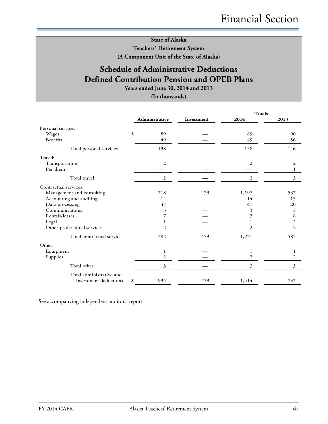**State of Alaska**

**Teachers' Retirement System**

**(A Component Unit of the State of Alaska)**

# **Schedule of Administrative Deductions Defined Contribution Pension and OPEB Plans**

**Years ended June 30, 2014 and 2013**

**(In thousands)**

|                             |                |            | <b>T</b> otals |                   |  |
|-----------------------------|----------------|------------|----------------|-------------------|--|
|                             | Administrative | Investment | 2014           | $\overline{2013}$ |  |
| Personal services:          |                |            |                |                   |  |
| \$<br>Wages                 | 89             |            | 89             | 90                |  |
| Benefits                    | 49             |            | 49             | 56                |  |
| Total personal services     | 138            |            | 138            | 146               |  |
| Travel:                     |                |            |                |                   |  |
| Transportation              | 2              |            | 2              | 2                 |  |
| Per diem                    |                |            |                | 1                 |  |
| Total travel                | 2              |            | $\mathfrak{2}$ | 3                 |  |
| Contractual services:       |                |            |                |                   |  |
| Management and consulting   | 718            | 479        | 1,197          | 537               |  |
| Accounting and auditing     | 14             |            | 14             | 13                |  |
| Data processing             | 47             |            | 47             | 20                |  |
| Communications              | 3              |            | 3              | 3                 |  |
| Rentals/leases              |                |            |                | 8                 |  |
| Legal                       |                |            |                | 2                 |  |
| Other professional services | 2              |            | 2              | $\overline{2}$    |  |
| Total contractual services  | 792            | 479        | 1,271          | 585               |  |
| Other:                      |                |            |                |                   |  |
| Equipment                   | $\mathbf{1}$   |            | $\mathbf{1}$   | 1                 |  |
| Supplies                    | 2              |            | 2              | $\overline{c}$    |  |
| Total other                 | 3              |            | 3              | 3                 |  |
| Total administrative and    |                |            |                |                   |  |
| \$<br>investment deductions | 935            | 479        | 1,414          | 737               |  |